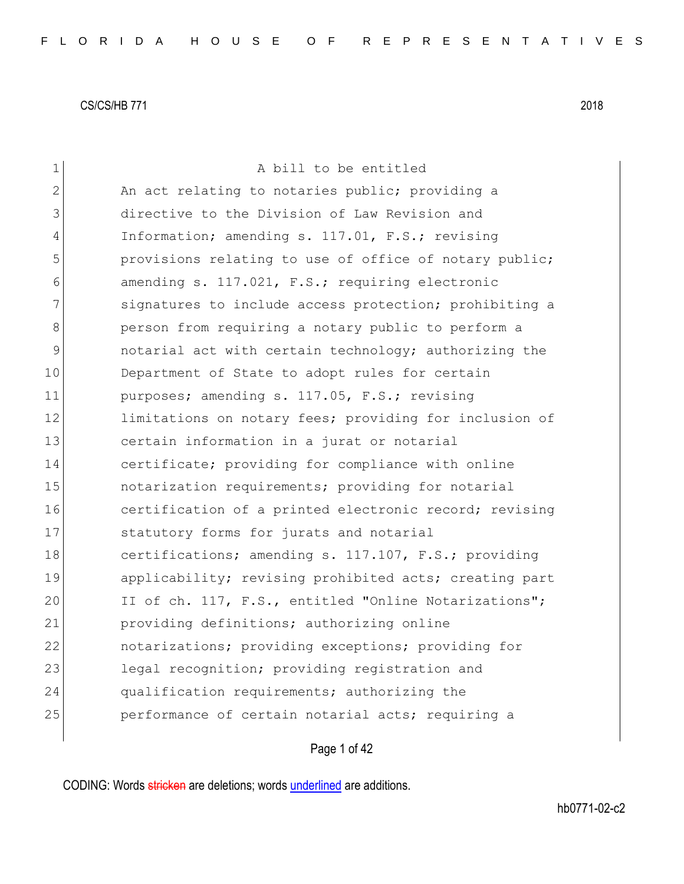| 1             | A bill to be entitled                                  |
|---------------|--------------------------------------------------------|
| $\mathbf{2}$  | An act relating to notaries public; providing a        |
| 3             | directive to the Division of Law Revision and          |
| 4             | Information; amending s. 117.01, F.S.; revising        |
| 5             | provisions relating to use of office of notary public; |
| 6             | amending s. 117.021, F.S.; requiring electronic        |
| 7             | signatures to include access protection; prohibiting a |
| 8             | person from requiring a notary public to perform a     |
| $\mathcal{G}$ | notarial act with certain technology; authorizing the  |
| 10            | Department of State to adopt rules for certain         |
| 11            | purposes; amending s. 117.05, F.S.; revising           |
| 12            | limitations on notary fees; providing for inclusion of |
| 13            | certain information in a jurat or notarial             |
| 14            | certificate; providing for compliance with online      |
| 15            | notarization requirements; providing for notarial      |
| 16            | certification of a printed electronic record; revising |
| 17            | statutory forms for jurats and notarial                |
| 18            | certifications; amending s. 117.107, F.S.; providing   |
| 19            | applicability; revising prohibited acts; creating part |
| 20            | II of ch. 117, F.S., entitled "Online Notarizations";  |
| 21            | providing definitions; authorizing online              |
| 22            | notarizations; providing exceptions; providing for     |
| 23            | legal recognition; providing registration and          |
| 24            | qualification requirements; authorizing the            |
| 25            | performance of certain notarial acts; requiring a      |
|               |                                                        |

Page 1 of 42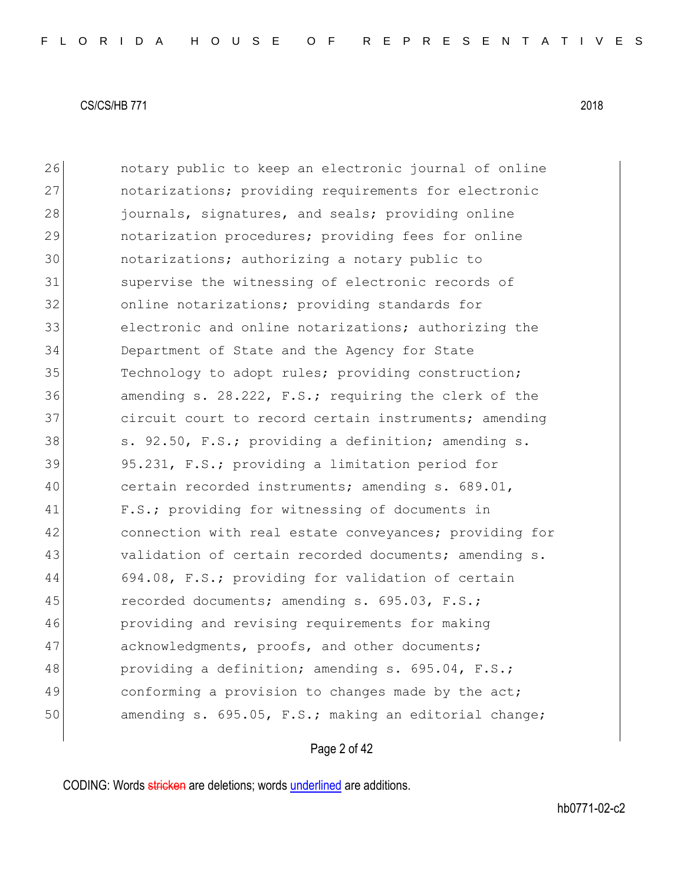| 26 | notary public to keep an electronic journal of online  |
|----|--------------------------------------------------------|
| 27 | notarizations; providing requirements for electronic   |
| 28 | journals, signatures, and seals; providing online      |
| 29 | notarization procedures; providing fees for online     |
| 30 | notarizations; authorizing a notary public to          |
| 31 | supervise the witnessing of electronic records of      |
| 32 | online notarizations; providing standards for          |
| 33 | electronic and online notarizations; authorizing the   |
| 34 | Department of State and the Agency for State           |
| 35 | Technology to adopt rules; providing construction;     |
| 36 | amending s. 28.222, F.S.; requiring the clerk of the   |
| 37 | circuit court to record certain instruments; amending  |
| 38 | s. 92.50, F.S.; providing a definition; amending s.    |
| 39 | 95.231, F.S.; providing a limitation period for        |
| 40 | certain recorded instruments; amending s. 689.01,      |
| 41 | F.S.; providing for witnessing of documents in         |
| 42 | connection with real estate conveyances; providing for |
| 43 | validation of certain recorded documents; amending s.  |
| 44 | 694.08, F.S.; providing for validation of certain      |
| 45 | recorded documents; amending s. 695.03, F.S.;          |
| 46 | providing and revising requirements for making         |
| 47 | acknowledgments, proofs, and other documents;          |
| 48 | providing a definition; amending s. 695.04, F.S.;      |
| 49 | conforming a provision to changes made by the act;     |
| 50 | amending s. 695.05, F.S.; making an editorial change;  |
|    |                                                        |

# Page 2 of 42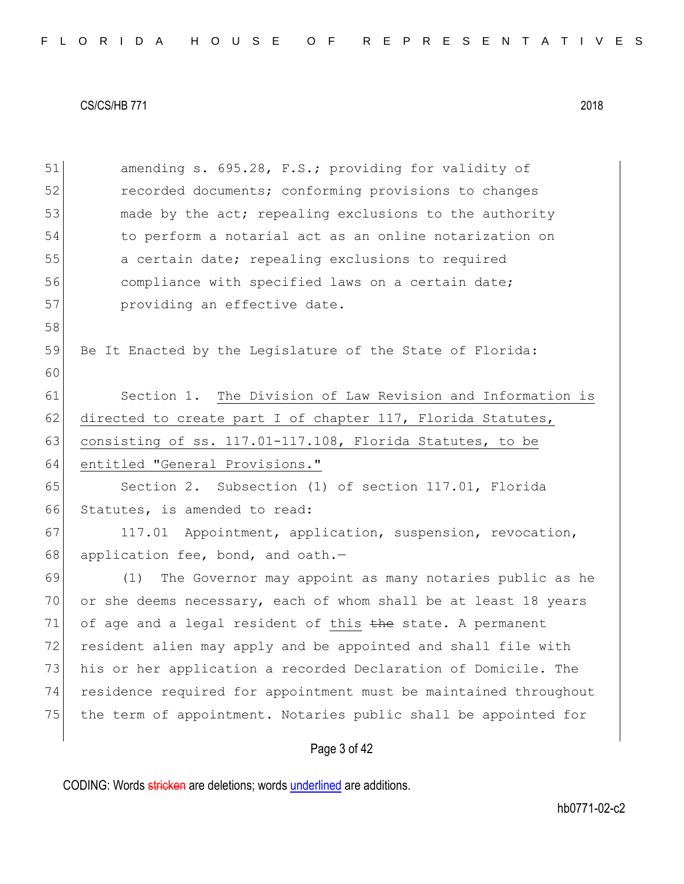58

60

51 amending s. 695.28, F.S.; providing for validity of **recorded documents;** conforming provisions to changes 53 made by the act; repealing exclusions to the authority to perform a notarial act as an online notarization on a certain date; repealing exclusions to required **compliance with specified laws on a certain date; providing an effective date.** 

59 Be It Enacted by the Legislature of the State of Florida:

61 Section 1. The Division of Law Revision and Information is 62 directed to create part I of chapter 117, Florida Statutes, 63 consisting of ss.  $117.01-117.108$ , Florida Statutes, to be 64 entitled "General Provisions."

65 Section 2. Subsection (1) of section 117.01, Florida 66 Statutes, is amended to read:

67 117.01 Appointment, application, suspension, revocation, 68 application fee, bond, and oath. $-$ 

 (1) The Governor may appoint as many notaries public as he or she deems necessary, each of whom shall be at least 18 years 71 of age and a legal resident of this  $t$ he state. A permanent resident alien may apply and be appointed and shall file with his or her application a recorded Declaration of Domicile. The residence required for appointment must be maintained throughout 75 the term of appointment. Notaries public shall be appointed for

## Page 3 of 42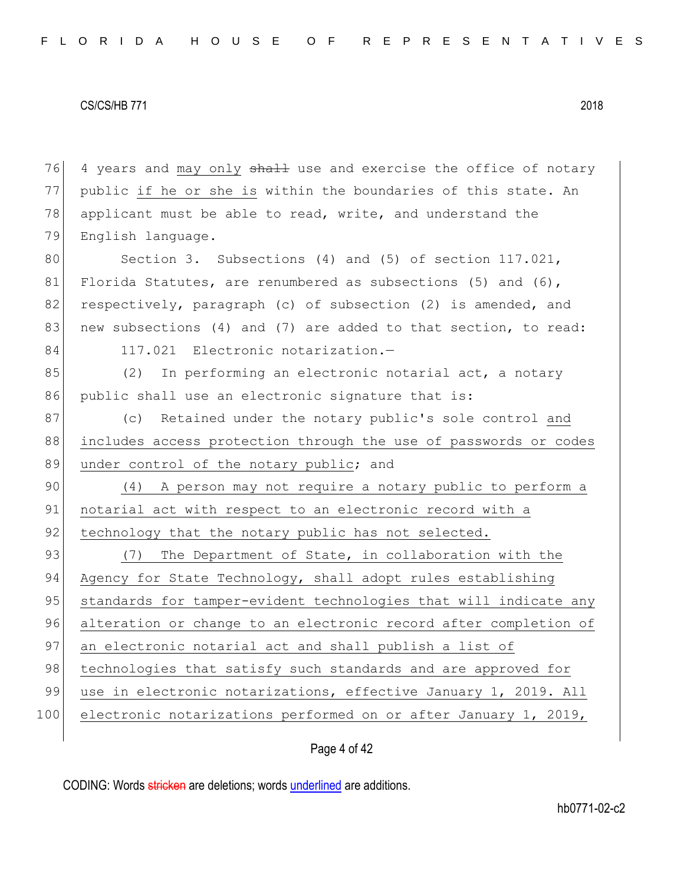76 4 years and may only shall use and exercise the office of notary 77 public if he or she is within the boundaries of this state. An 78 applicant must be able to read, write, and understand the 79 English language. 80 Section 3. Subsections (4) and (5) of section 117.021, 81 Florida Statutes, are renumbered as subsections (5) and (6), 82 respectively, paragraph (c) of subsection (2) is amended, and 83 new subsections (4) and (7) are added to that section, to read: 84 117.021 Electronic notarization.-85 (2) In performing an electronic notarial act, a notary 86 public shall use an electronic signature that is: 87 (c) Retained under the notary public's sole control and 88 includes access protection through the use of passwords or codes 89 under control of the notary public; and 90 (4) A person may not require a notary public to perform a 91 notarial act with respect to an electronic record with a 92 technology that the notary public has not selected. 93 (7) The Department of State, in collaboration with the 94 Agency for State Technology, shall adopt rules establishing 95 standards for tamper-evident technologies that will indicate any 96 alteration or change to an electronic record after completion of 97 an electronic notarial act and shall publish a list of 98 technologies that satisfy such standards and are approved for 99 use in electronic notarizations, effective January 1, 2019. All 100 electronic notarizations performed on or after January 1, 2019,

# Page 4 of 42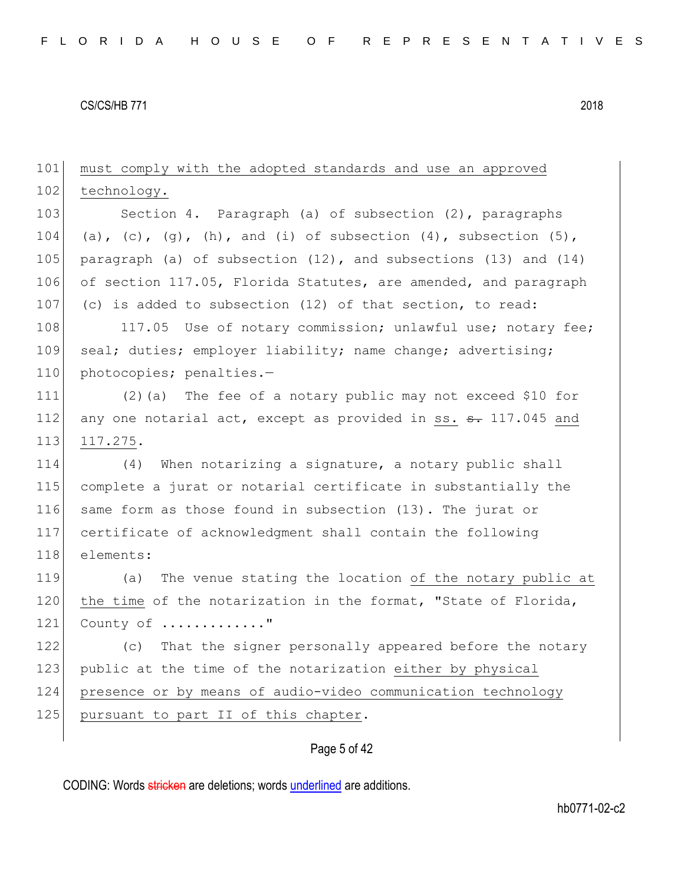101 must comply with the adopted standards and use an approved 102 technology. 103 Section 4. Paragraph (a) of subsection (2), paragraphs 104 (a), (c), (g), (h), and (i) of subsection  $(4)$ , subsection  $(5)$ , 105 paragraph (a) of subsection  $(12)$ , and subsections  $(13)$  and  $(14)$ 106 of section 117.05, Florida Statutes, are amended, and paragraph 107 (c) is added to subsection  $(12)$  of that section, to read: 108 117.05 Use of notary commission; unlawful use; notary fee; 109 seal; duties; employer liability; name change; advertising; 110 photocopies; penalties.-111 (2)(a) The fee of a notary public may not exceed \$10 for 112 any one notarial act, except as provided in ss.  $\epsilon$ . 117.045 and 113 117.275. 114 (4) When notarizing a signature, a notary public shall 115 complete a jurat or notarial certificate in substantially the 116 same form as those found in subsection (13). The jurat or 117 certificate of acknowledgment shall contain the following 118 elements: 119 (a) The venue stating the location of the notary public at 120 the time of the notarization in the format, "State of Florida, 121 County of ............." 122 (c) That the signer personally appeared before the notary 123 public at the time of the notarization either by physical 124 presence or by means of audio-video communication technology 125 pursuant to part II of this chapter.

Page 5 of 42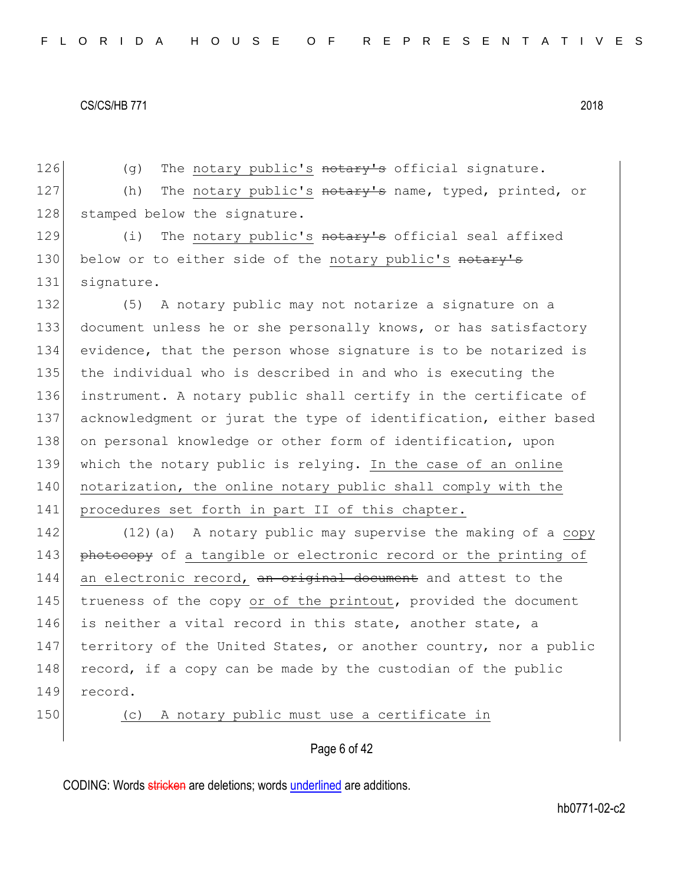126 (g) The notary public's notary's official signature. 127 (h) The notary public's notary's name, typed, printed, or 128 stamped below the signature. 129 (i) The notary public's notary's official seal affixed 130 below or to either side of the notary public's notary's 131 signature. 132 (5) A notary public may not notarize a signature on a 133 document unless he or she personally knows, or has satisfactory 134 evidence, that the person whose signature is to be notarized is 135 the individual who is described in and who is executing the 136 instrument. A notary public shall certify in the certificate of 137 acknowledgment or jurat the type of identification, either based 138 on personal knowledge or other form of identification, upon 139 which the notary public is relying. In the case of an online 140 notarization, the online notary public shall comply with the 141 procedures set forth in part II of this chapter. 142 (12)(a) A notary public may supervise the making of a copy 143 photocopy of a tangible or electronic record or the printing of 144 an electronic record, an original document and attest to the

145 trueness of the copy or of the printout, provided the document 146 is neither a vital record in this state, another state, a 147 territory of the United States, or another country, nor a public 148 record, if a copy can be made by the custodian of the public 149 record.

150 (c) A notary public must use a certificate in

Page 6 of 42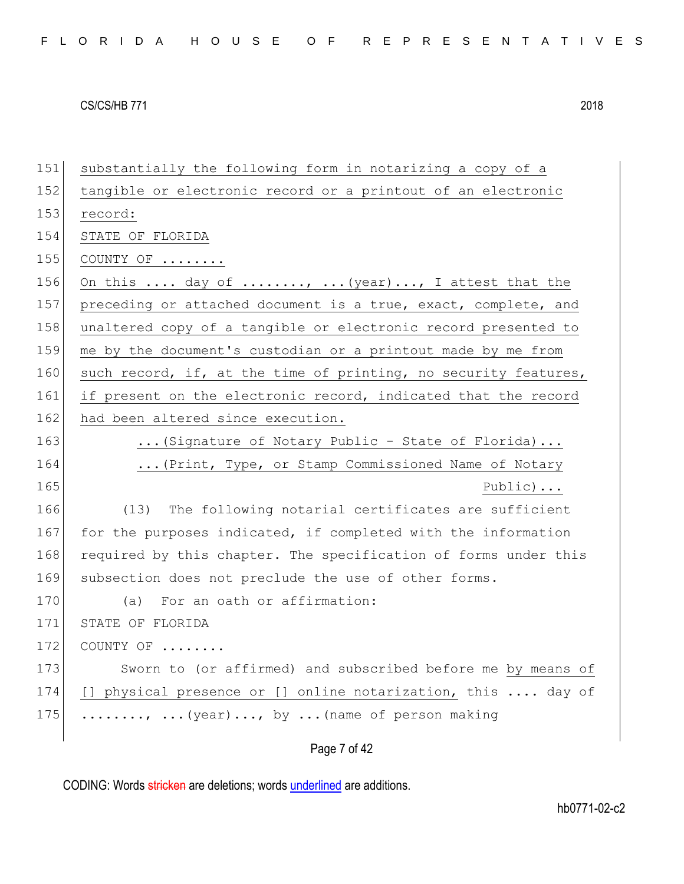151 substantially the following form in notarizing a copy of a 152 tangible or electronic record or a printout of an electronic 153 record: 154 STATE OF FLORIDA 155 COUNTY OF ........ 156 On this  $\ldots$  day of  $\ldots \ldots$ ,  $\ldots$  (year)..., I attest that the 157 preceding or attached document is a true, exact, complete, and 158 unaltered copy of a tangible or electronic record presented to 159 me by the document's custodian or a printout made by me from 160 such record, if, at the time of printing, no security features, 161 if present on the electronic record, indicated that the record 162 had been altered since execution. 163 | Construct Containstand Containst Public - State of Florida)... 164 ...(Print, Type, or Stamp Commissioned Name of Notary 165 Public)... 166 (13) The following notarial certificates are sufficient 167 for the purposes indicated, if completed with the information 168 required by this chapter. The specification of forms under this 169 subsection does not preclude the use of other forms. 170 (a) For an oath or affirmation: 171 STATE OF FLORIDA 172 COUNTY OF ....... 173 Sworn to (or affirmed) and subscribed before me by means of 174 [] physical presence or [] online notarization, this .... day of 175  $\ldots$ ....., ...(year)..., by ...(name of person making

Page 7 of 42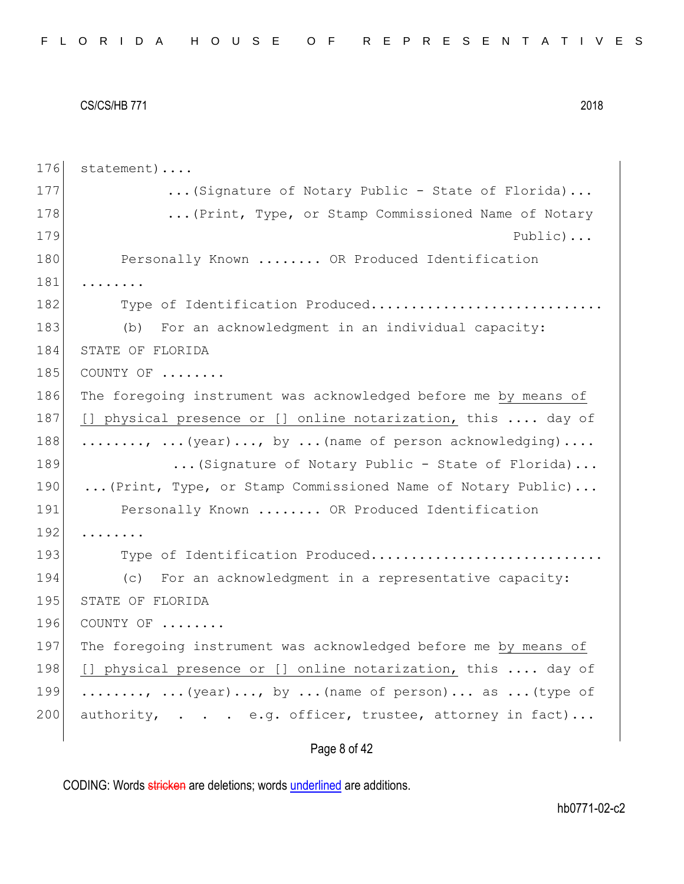176 statement).... 177 ...(Signature of Notary Public - State of Florida)... 178 ...(Print, Type, or Stamp Commissioned Name of Notary 179 Public)... 180 Personally Known ....... OR Produced Identification 181 ........ 182 Type of Identification Produced.............................. 183 (b) For an acknowledgment in an individual capacity: 184 STATE OF FLORIDA 185 COUNTY OF ....... 186 The foregoing instrument was acknowledged before me by means of 187 [] physical presence or [] online notarization, this .... day of 188  $\ldots$ ...,  $\ldots$  (year)..., by ... (name of person acknowledging).... 189 ...(Signature of Notary Public - State of Florida)... 190 ...(Print, Type, or Stamp Commissioned Name of Notary Public)... 191 Personally Known ....... OR Produced Identification  $192$  ...... 193 Type of Identification Produced.............................. 194 (c) For an acknowledgment in a representative capacity: 195 STATE OF FLORIDA 196 COUNTY OF ........ 197 The foregoing instrument was acknowledged before me by means of 198 [] physical presence or [] online notarization, this .... day of 199  $\ldots \ldots$ ,  $\ldots$  (year)..., by  $\ldots$  (name of person)... as  $\ldots$  (type of 200 authority,  $\ldots$  . e.g. officer, trustee, attorney in fact)...

# Page 8 of 42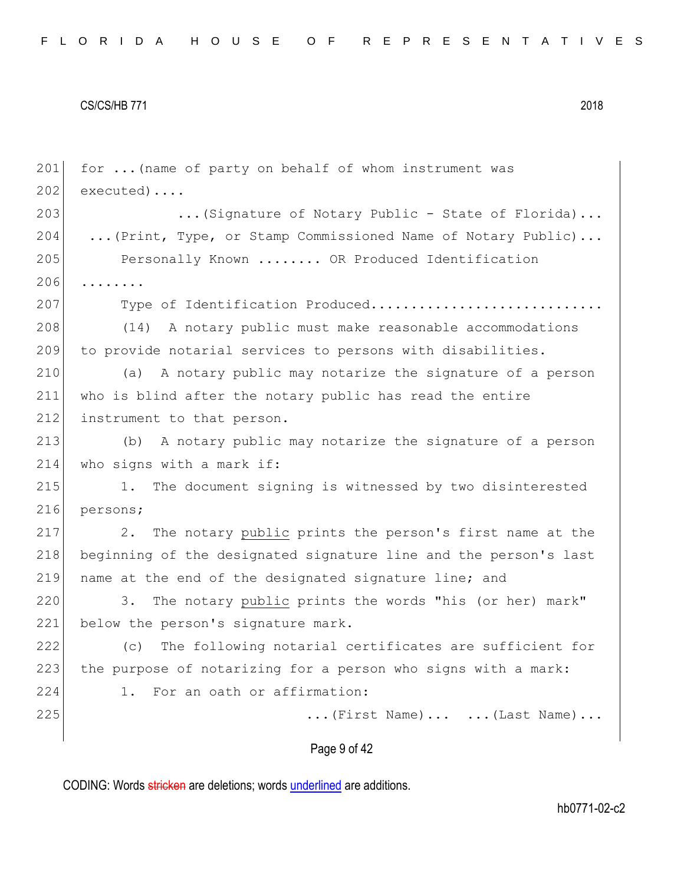| 201 | for  (name of party on behalf of whom instrument was             |
|-----|------------------------------------------------------------------|
| 202 | executed)                                                        |
| 203 | (Signature of Notary Public - State of Florida)                  |
| 204 | (Print, Type, or Stamp Commissioned Name of Notary Public)       |
| 205 | Personally Known  OR Produced Identification                     |
| 206 | .                                                                |
| 207 | Type of Identification Produced                                  |
| 208 | A notary public must make reasonable accommodations<br>(14)      |
| 209 | to provide notarial services to persons with disabilities.       |
| 210 | A notary public may notarize the signature of a person<br>(a)    |
| 211 | who is blind after the notary public has read the entire         |
| 212 | instrument to that person.                                       |
| 213 | A notary public may notarize the signature of a person<br>(b)    |
| 214 | who signs with a mark if:                                        |
| 215 | 1. The document signing is witnessed by two disinterested        |
| 216 | persons;                                                         |
| 217 | The notary public prints the person's first name at the<br>2.    |
| 218 | beginning of the designated signature line and the person's last |
| 219 | name at the end of the designated signature line; and            |
| 220 | The notary public prints the words "his (or her) mark"<br>3.     |
| 221 | below the person's signature mark.                               |
| 222 | The following notarial certificates are sufficient for<br>(C)    |
| 223 | the purpose of notarizing for a person who signs with a mark:    |
| 224 | For an oath or affirmation:<br>1.                                |
| 225 | $\ldots$ (First Name) $\ldots$ (Last Name)                       |
|     | Page 9 of 42                                                     |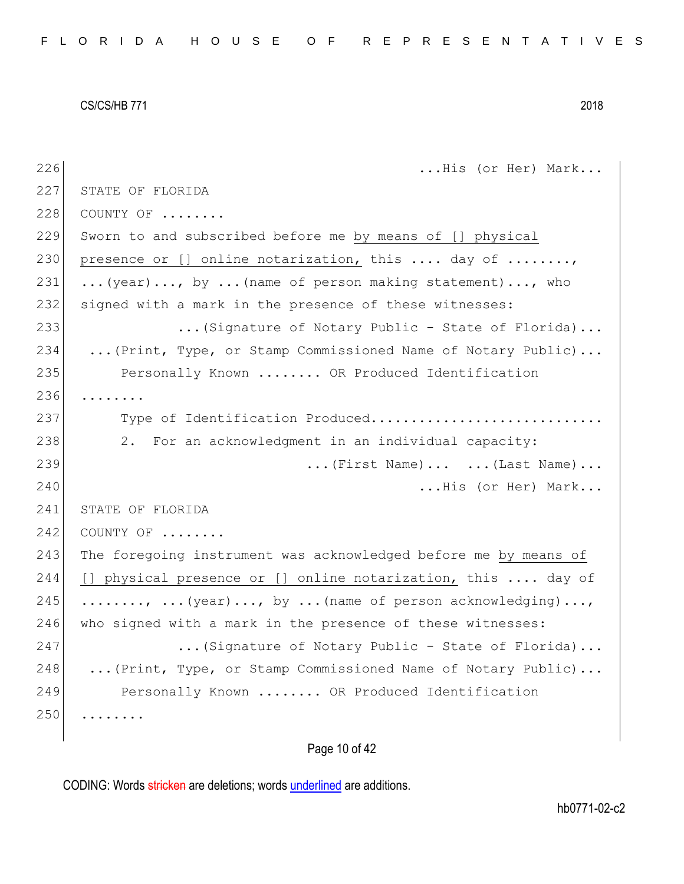226 ...His (or Her) Mark... 227 STATE OF FLORIDA 228 COUNTY OF ....... 229 Sworn to and subscribed before me by means of [] physical 230 presence or  $[]$  online notarization, this .... day of ........ 231  $\ldots$  (year)..., by  $\ldots$  (name of person making statement)..., who 232 signed with a mark in the presence of these witnesses: 233 ...(Signature of Notary Public - State of Florida)... 234 ...(Print, Type, or Stamp Commissioned Name of Notary Public)... 235 Personally Known ....... OR Produced Identification 236 ........ 237 Type of Identification Produced............................ 238 2. For an acknowledgment in an individual capacity: 239 **...** (First Name)... ... (Last Name)... 240 **...His (or Her) Mark...** 241 STATE OF FLORIDA  $242$  COUNTY OF ....... 243 The foregoing instrument was acknowledged before me by means of 244 [] physical presence or [] online notarization, this .... day of 245  $\ldots$ ..., ...(year)..., by ...(name of person acknowledging)..., 246 who signed with a mark in the presence of these witnesses: 247 | Castrian Communiculary Public - State of Florida)... 248 | ...(Print, Type, or Stamp Commissioned Name of Notary Public)... 249 Personally Known ....... OR Produced Identification 250 ........

Page 10 of 42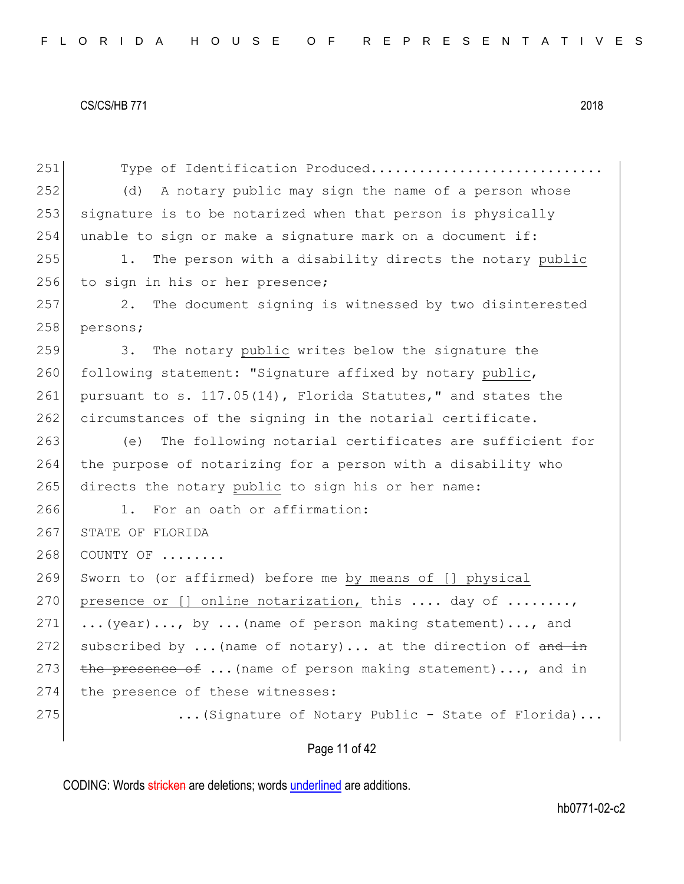251 Type of Identification Produced...................... 252 (d) A notary public may sign the name of a person whose 253 signature is to be notarized when that person is physically 254 unable to sign or make a signature mark on a document if: 255 1. The person with a disability directs the notary public 256 to sign in his or her presence; 257 2. The document signing is witnessed by two disinterested 258 persons; 259 3. The notary public writes below the signature the 260 following statement: "Signature affixed by notary public, 261 pursuant to s. 117.05(14), Florida Statutes," and states the 262 circumstances of the signing in the notarial certificate. 263 (e) The following notarial certificates are sufficient for 264 the purpose of notarizing for a person with a disability who 265 directs the notary public to sign his or her name: 266 1. For an oath or affirmation: 267 STATE OF FLORIDA 268 COUNTY OF ....... 269 Sworn to (or affirmed) before me by means of [] physical 270 presence or [] online notarization, this  $\dots$  day of  $\dots\dots$ , 271  $\ldots$  (year)..., by  $\ldots$  (name of person making statement)..., and 272 subscribed by ... (name of notary)... at the direction of  $\frac{1}{\alpha}$ 273 the presence of  $\ldots$  (name of person making statement)..., and in 274 the presence of these witnesses: 275  $\vert$  ...(Signature of Notary Public - State of Florida)...

## Page 11 of 42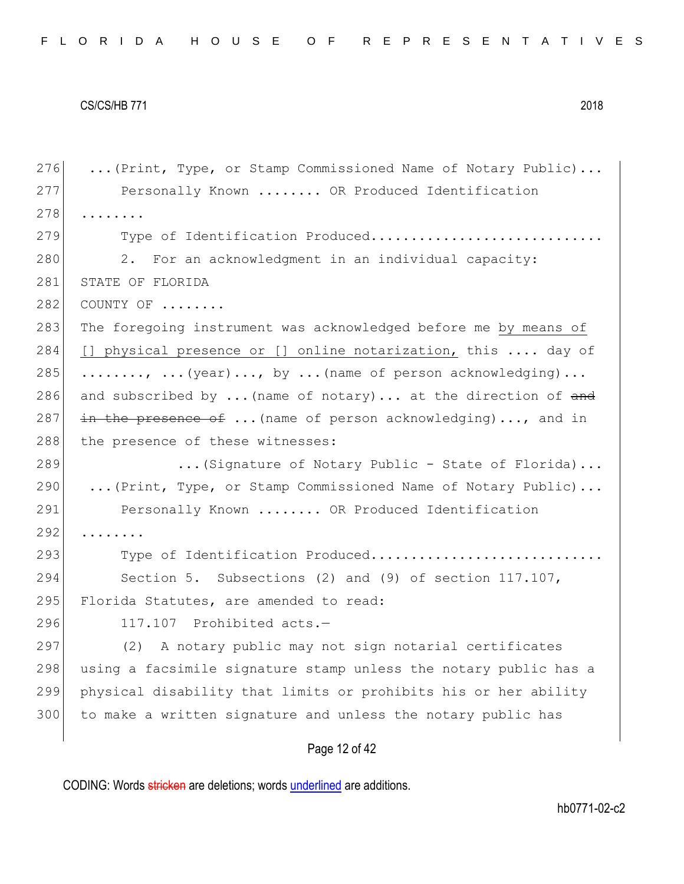276 ...(Print, Type, or Stamp Commissioned Name of Notary Public)... 277 Personally Known ....... OR Produced Identification 278 ........ 279 Type of Identification Produced............................. 280 2. For an acknowledgment in an individual capacity: 281 STATE OF FLORIDA 282 COUNTY OF ....... 283 The foregoing instrument was acknowledged before me by means of 284 [] physical presence or [] online notarization, this .... day of  $285$   $\ldots$ ..., ...(year)..., by ...(name of person acknowledging)... 286 and subscribed by  $\ldots$  (name of notary)... at the direction of  $\frac{1}{\text{and}}$ 287 in the presence of  $\ldots$  (name of person acknowledging)..., and in 288 the presence of these witnesses: 289 ...(Signature of Notary Public - State of Florida)... 290 ...(Print, Type, or Stamp Commissioned Name of Notary Public)... 291 Personally Known ....... OR Produced Identification  $292$  ...... 293 Type of Identification Produced............................ 294 Section 5. Subsections (2) and (9) of section 117.107, 295 Florida Statutes, are amended to read: 296 117.107 Prohibited acts.-297 (2) A notary public may not sign notarial certificates 298 using a facsimile signature stamp unless the notary public has a 299 physical disability that limits or prohibits his or her ability 300 to make a written signature and unless the notary public has

## Page 12 of 42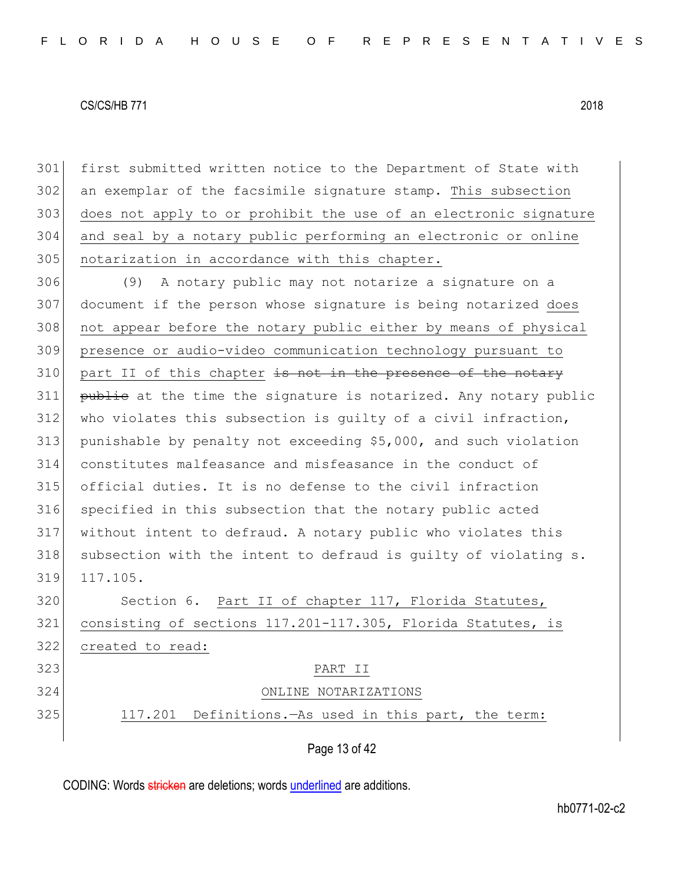first submitted written notice to the Department of State with an exemplar of the facsimile signature stamp. This subsection does not apply to or prohibit the use of an electronic signature and seal by a notary public performing an electronic or online 305 notarization in accordance with this chapter.

 (9) A notary public may not notarize a signature on a document if the person whose signature is being notarized does 308 not appear before the notary public either by means of physical presence or audio-video communication technology pursuant to part II of this chapter is not in the presence of the notary 311 public at the time the signature is notarized. Any notary public who violates this subsection is guilty of a civil infraction, punishable by penalty not exceeding \$5,000, and such violation constitutes malfeasance and misfeasance in the conduct of official duties. It is no defense to the civil infraction specified in this subsection that the notary public acted without intent to defraud. A notary public who violates this subsection with the intent to defraud is quilty of violating s. 117.105. 320 Section 6. Part II of chapter 117, Florida Statutes,

 consisting of sections 117.201-117.305, Florida Statutes, is created to read: PART II ONLINE NOTARIZATIONS 325 117.201 Definitions.—As used in this part, the term:

Page 13 of 42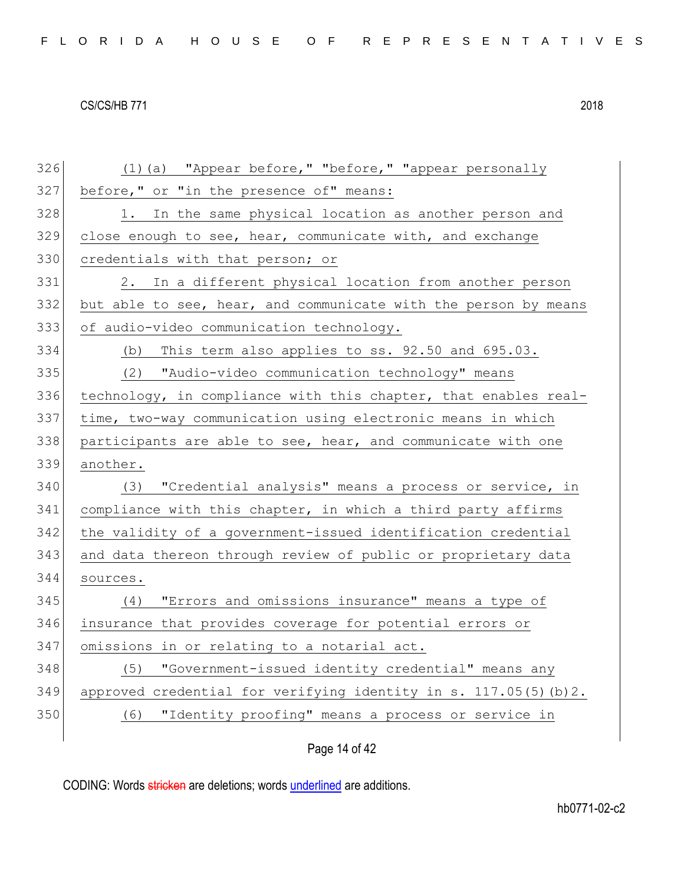326 (1)(a) "Appear before," "before," "appear personally 327 before," or "in the presence of" means: 328 1. In the same physical location as another person and  $329$  close enough to see, hear, communicate with, and exchange 330 credentials with that person; or 331 2. In a different physical location from another person 332 but able to see, hear, and communicate with the person by means 333 of audio-video communication technology. 334 (b) This term also applies to ss. 92.50 and 695.03. 335 (2) "Audio-video communication technology" means 336 technology, in compliance with this chapter, that enables real-337 time, two-way communication using electronic means in which 338 participants are able to see, hear, and communicate with one 339 another. 340 (3) "Credential analysis" means a process or service, in 341 compliance with this chapter, in which a third party affirms 342 the validity of a government-issued identification credential 343 and data thereon through review of public or proprietary data 344 sources. 345 (4) "Errors and omissions insurance" means a type of 346 insurance that provides coverage for potential errors or 347 omissions in or relating to a notarial act. 348 (5) "Government-issued identity credential" means any 349 approved credential for verifying identity in s.  $117.05(5)(b)2$ . 350 (6) "Identity proofing" means a process or service in

Page 14 of 42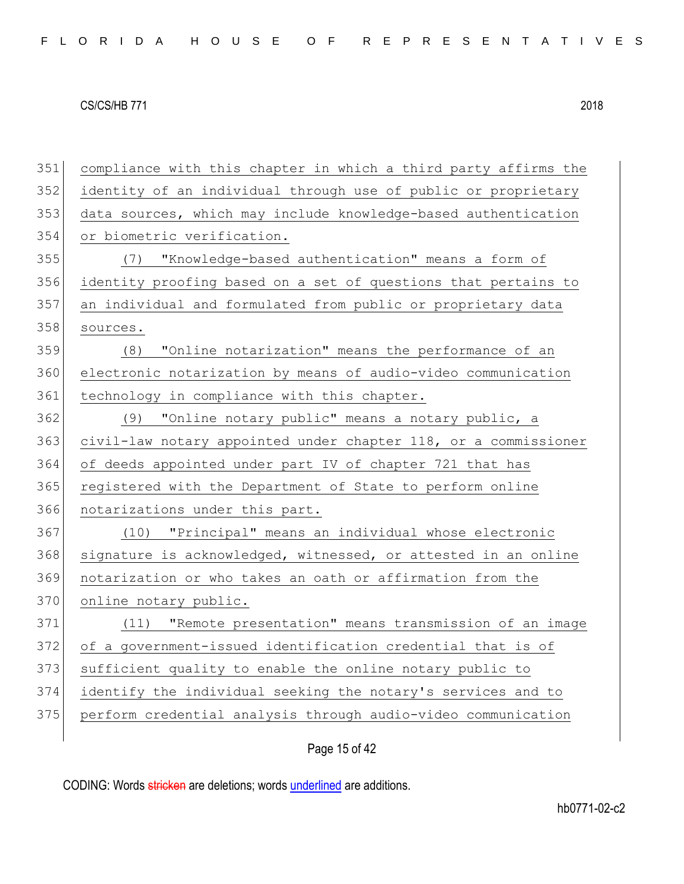compliance with this chapter in which a third party affirms the identity of an individual through use of public or proprietary data sources, which may include knowledge-based authentication or biometric verification. (7) "Knowledge-based authentication" means a form of identity proofing based on a set of questions that pertains to an individual and formulated from public or proprietary data sources. (8) "Online notarization" means the performance of an electronic notarization by means of audio-video communication 361 technology in compliance with this chapter. (9) "Online notary public" means a notary public, a civil-law notary appointed under chapter 118, or a commissioner of deeds appointed under part IV of chapter 721 that has registered with the Department of State to perform online notarizations under this part. (10) "Principal" means an individual whose electronic 368 signature is acknowledged, witnessed, or attested in an online notarization or who takes an oath or affirmation from the 370 online notary public. (11) "Remote presentation" means transmission of an image of a government-issued identification credential that is of sufficient quality to enable the online notary public to identify the individual seeking the notary's services and to perform credential analysis through audio-video communication

Page 15 of 42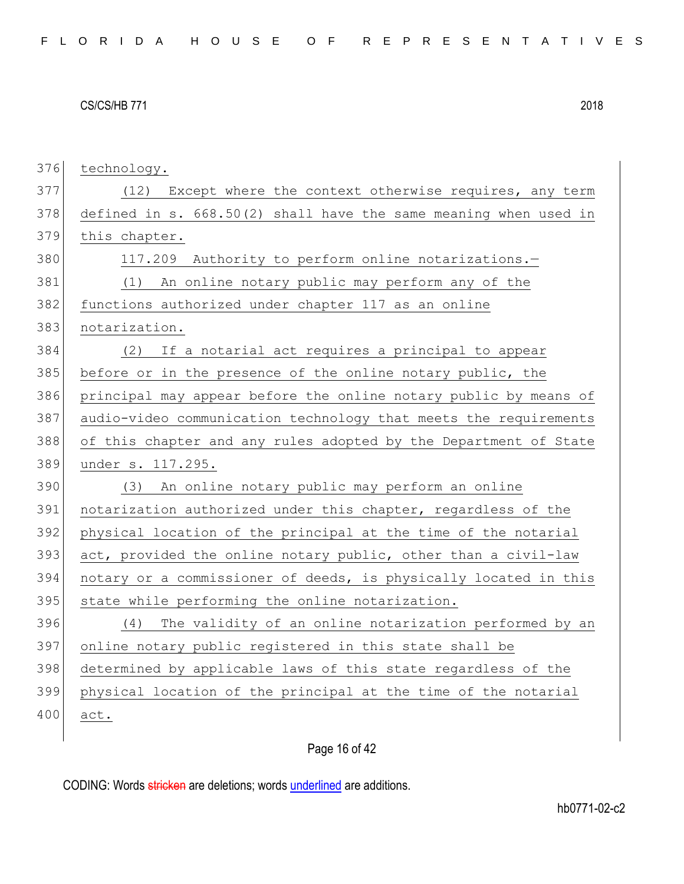| 376 | technology.                                                      |
|-----|------------------------------------------------------------------|
| 377 | (12) Except where the context otherwise requires, any term       |
| 378 | defined in s. 668.50(2) shall have the same meaning when used in |
| 379 | this chapter.                                                    |
| 380 | Authority to perform online notarizations.-<br>117.209           |
| 381 | (1) An online notary public may perform any of the               |
| 382 | functions authorized under chapter 117 as an online              |
| 383 | notarization.                                                    |
| 384 | If a notarial act requires a principal to appear<br>(2)          |
| 385 | before or in the presence of the online notary public, the       |
| 386 | principal may appear before the online notary public by means of |
| 387 | audio-video communication technology that meets the requirements |
| 388 | of this chapter and any rules adopted by the Department of State |
|     |                                                                  |
| 389 | under s. 117.295.                                                |
| 390 | An online notary public may perform an online<br>(3)             |
| 391 | notarization authorized under this chapter, regardless of the    |
| 392 | physical location of the principal at the time of the notarial   |
| 393 | act, provided the online notary public, other than a civil-law   |
| 394 | notary or a commissioner of deeds, is physically located in this |
| 395 | state while performing the online notarization.                  |
| 396 | The validity of an online notarization performed by an<br>(4)    |
| 397 | online notary public registered in this state shall be           |
| 398 | determined by applicable laws of this state regardless of the    |
| 399 | physical location of the principal at the time of the notarial   |
| 400 | act.                                                             |

# Page 16 of 42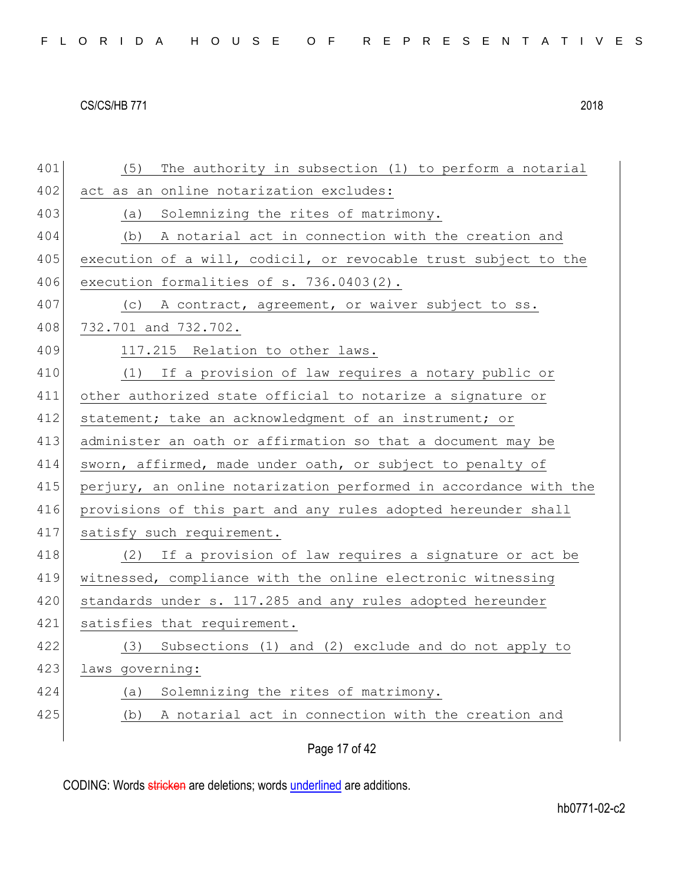| 401 | The authority in subsection (1) to perform a notarial<br>(5)     |
|-----|------------------------------------------------------------------|
| 402 | act as an online notarization excludes:                          |
| 403 | Solemnizing the rites of matrimony.<br>(a)                       |
| 404 | A notarial act in connection with the creation and<br>(b)        |
| 405 | execution of a will, codicil, or revocable trust subject to the  |
| 406 | execution formalities of s. 736.0403(2).                         |
| 407 | (c) A contract, agreement, or waiver subject to ss.              |
| 408 | 732.701 and 732.702.                                             |
| 409 | 117.215 Relation to other laws.                                  |
| 410 | If a provision of law requires a notary public or<br>(1)         |
| 411 | other authorized state official to notarize a signature or       |
| 412 | statement; take an acknowledgment of an instrument; or           |
| 413 | administer an oath or affirmation so that a document may be      |
| 414 | sworn, affirmed, made under oath, or subject to penalty of       |
| 415 | perjury, an online notarization performed in accordance with the |
| 416 | provisions of this part and any rules adopted hereunder shall    |
| 417 | satisfy such requirement.                                        |
| 418 | (2) If a provision of law requires a signature or act be         |
| 419 | witnessed, compliance with the online electronic witnessing      |
| 420 | standards under s. 117.285 and any rules adopted hereunder       |
| 421 | satisfies that requirement.                                      |
| 422 | (3) Subsections (1) and (2) exclude and do not apply to          |
| 423 | laws governing:                                                  |
| 424 | Solemnizing the rites of matrimony.<br>(a)                       |
| 425 | A notarial act in connection with the creation and<br>(b)        |
|     | Page 17 of 42                                                    |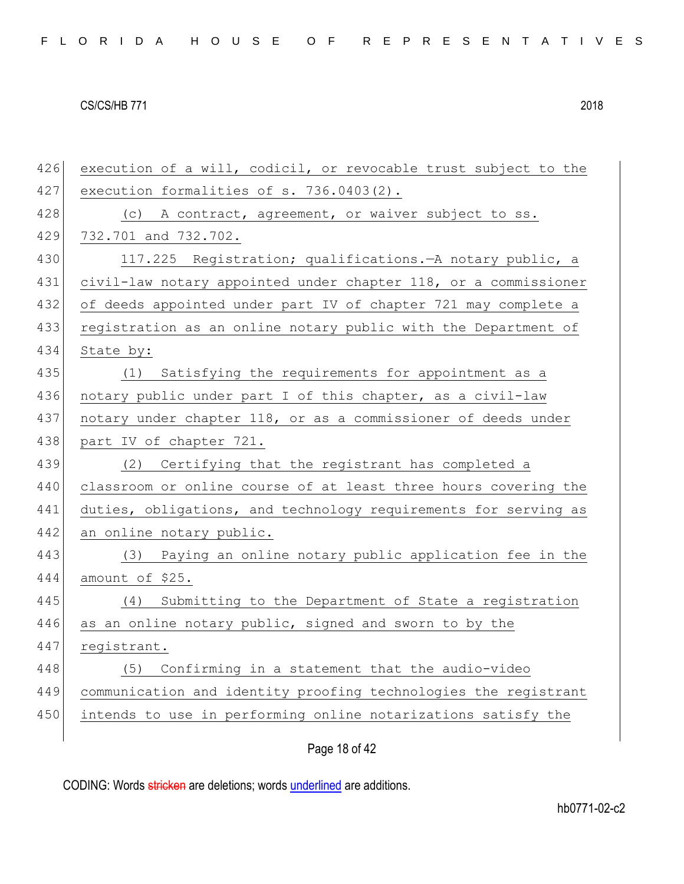| 426 | execution of a will, codicil, or revocable trust subject to the |
|-----|-----------------------------------------------------------------|
| 427 | execution formalities of s. 736.0403(2).                        |
| 428 | (c) A contract, agreement, or waiver subject to ss.             |
| 429 | 732.701 and 732.702.                                            |
| 430 | 117.225 Registration; qualifications. - A notary public, a      |
| 431 | civil-law notary appointed under chapter 118, or a commissioner |
| 432 | of deeds appointed under part IV of chapter 721 may complete a  |
| 433 | registration as an online notary public with the Department of  |
| 434 | State by:                                                       |
| 435 | Satisfying the requirements for appointment as a<br>(1)         |
| 436 | notary public under part I of this chapter, as a civil-law      |
| 437 | notary under chapter 118, or as a commissioner of deeds under   |
| 438 | part IV of chapter 721.                                         |
| 439 | Certifying that the registrant has completed a<br>(2)           |
| 440 | classroom or online course of at least three hours covering the |
| 441 | duties, obligations, and technology requirements for serving as |
| 442 | an online notary public.                                        |
| 443 |                                                                 |
|     | (3) Paying an online notary public application fee in the       |
| 444 | amount of \$25.                                                 |
| 445 | Submitting to the Department of State a registration<br>(4)     |
| 446 | as an online notary public, signed and sworn to by the          |
| 447 | registrant.                                                     |
| 448 | Confirming in a statement that the audio-video<br>(5)           |
| 449 | communication and identity proofing technologies the registrant |
| 450 | intends to use in performing online notarizations satisfy the   |

Page 18 of 42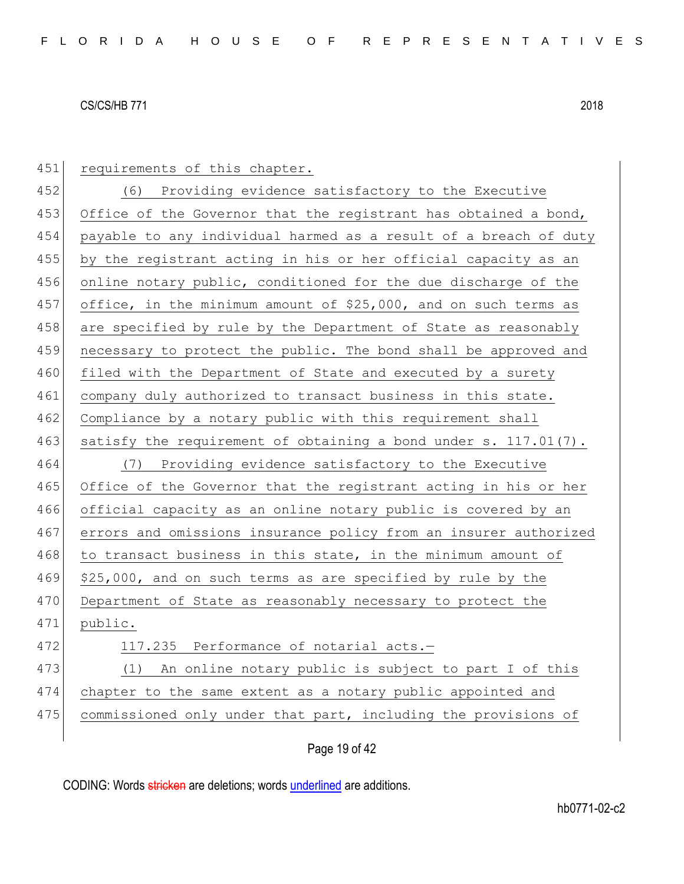| 451 | requirements of this chapter.                                    |
|-----|------------------------------------------------------------------|
| 452 | (6) Providing evidence satisfactory to the Executive             |
| 453 | Office of the Governor that the registrant has obtained a bond,  |
| 454 | payable to any individual harmed as a result of a breach of duty |
| 455 | by the registrant acting in his or her official capacity as an   |
| 456 | online notary public, conditioned for the due discharge of the   |
| 457 | office, in the minimum amount of \$25,000, and on such terms as  |
| 458 | are specified by rule by the Department of State as reasonably   |
| 459 | necessary to protect the public. The bond shall be approved and  |
| 460 | filed with the Department of State and executed by a surety      |
| 461 | company duly authorized to transact business in this state.      |
| 462 | Compliance by a notary public with this requirement shall        |
| 463 | satisfy the requirement of obtaining a bond under s. 117.01(7).  |
| 464 | Providing evidence satisfactory to the Executive<br>(7)          |
| 465 | Office of the Governor that the registrant acting in his or her  |
| 466 | official capacity as an online notary public is covered by an    |
| 467 | errors and omissions insurance policy from an insurer authorized |
| 468 | to transact business in this state, in the minimum amount of     |
| 469 | \$25,000, and on such terms as are specified by rule by the      |
| 470 | Department of State as reasonably necessary to protect the       |
| 471 | public.                                                          |
| 472 | 117.235 Performance of notarial acts.-                           |
| 473 | An online notary public is subject to part I of this<br>(1)      |
| 474 | chapter to the same extent as a notary public appointed and      |
| 475 | commissioned only under that part, including the provisions of   |
|     |                                                                  |

# Page 19 of 42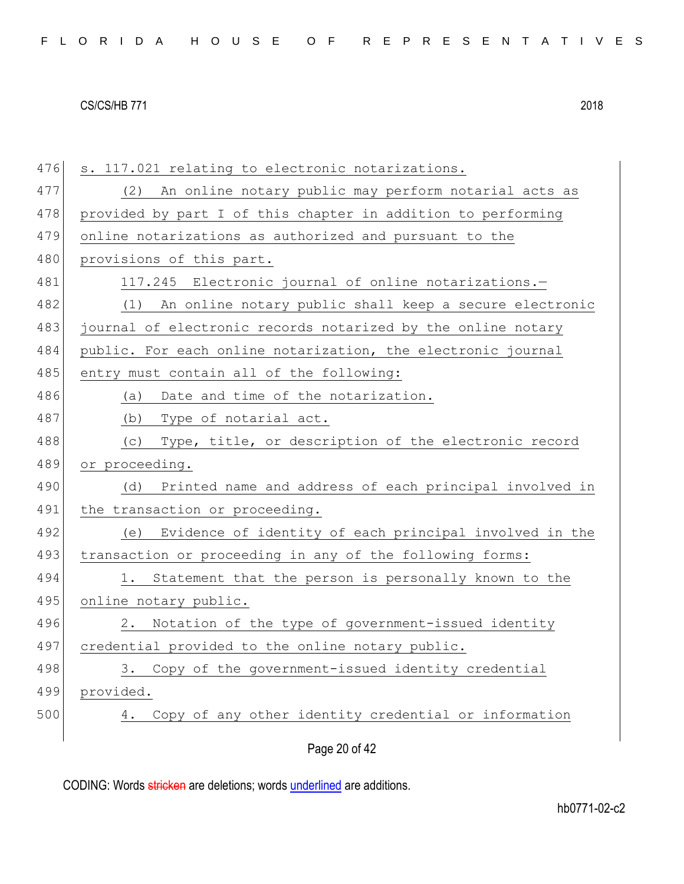| 476 | s. 117.021 relating to electronic notarizations.              |
|-----|---------------------------------------------------------------|
| 477 | An online notary public may perform notarial acts as<br>(2)   |
| 478 | provided by part I of this chapter in addition to performing  |
| 479 | online notarizations as authorized and pursuant to the        |
| 480 | provisions of this part.                                      |
| 481 | 117.245 Electronic journal of online notarizations.-          |
| 482 | An online notary public shall keep a secure electronic<br>(1) |
| 483 | journal of electronic records notarized by the online notary  |
| 484 | public. For each online notarization, the electronic journal  |
| 485 | entry must contain all of the following:                      |
| 486 | Date and time of the notarization.<br>(a)                     |
| 487 | (b)<br>Type of notarial act.                                  |
| 488 | Type, title, or description of the electronic record<br>(C)   |
| 489 | or proceeding.                                                |
| 490 | Printed name and address of each principal involved in<br>(d) |
| 491 | the transaction or proceeding.                                |
|     |                                                               |
| 492 | (e) Evidence of identity of each principal involved in the    |
| 493 | transaction or proceeding in any of the following forms:      |
| 494 | Statement that the person is personally known to the<br>1.    |
| 495 | online notary public.                                         |
| 496 | Notation of the type of government-issued identity<br>2.      |
| 497 | credential provided to the online notary public.              |
| 498 | 3. Copy of the government-issued identity credential          |
| 499 | provided.                                                     |
| 500 | 4. Copy of any other identity credential or information       |

Page 20 of 42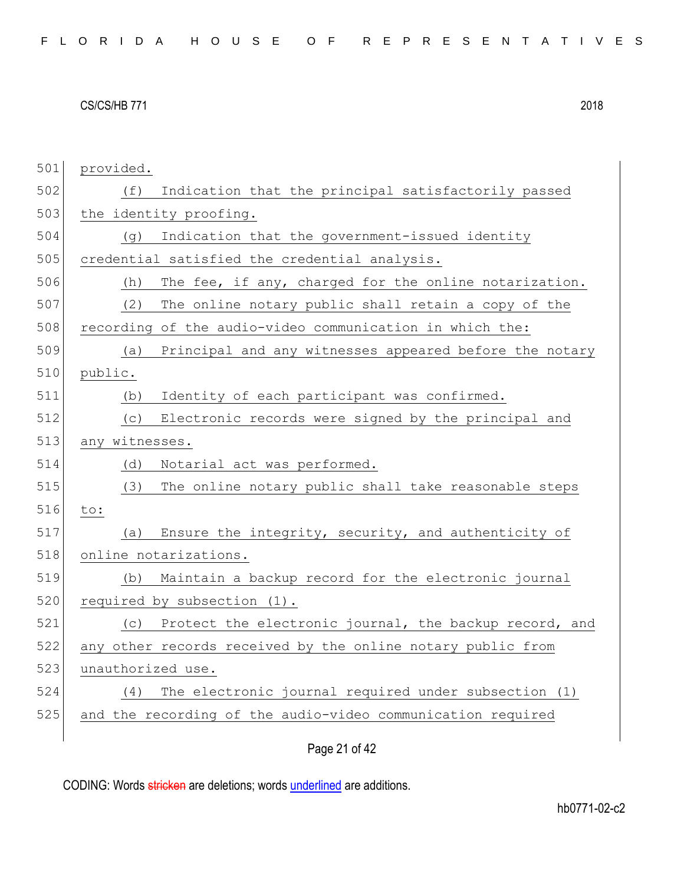| 501 | provided.                                                     |
|-----|---------------------------------------------------------------|
| 502 | Indication that the principal satisfactorily passed<br>(f)    |
| 503 | the identity proofing.                                        |
| 504 | Indication that the government-issued identity<br>(g)         |
| 505 | credential satisfied the credential analysis.                 |
| 506 | The fee, if any, charged for the online notarization.<br>(h)  |
| 507 | The online notary public shall retain a copy of the<br>(2)    |
| 508 | recording of the audio-video communication in which the:      |
| 509 | (a) Principal and any witnesses appeared before the notary    |
| 510 | public.                                                       |
| 511 | Identity of each participant was confirmed.<br>(b)            |
| 512 | Electronic records were signed by the principal and<br>(C)    |
| 513 | any witnesses.                                                |
| 514 | Notarial act was performed.<br>(d)                            |
| 515 | (3)<br>The online notary public shall take reasonable steps   |
| 516 | to:                                                           |
| 517 | Ensure the integrity, security, and authenticity of<br>(a)    |
| 518 | online notarizations.                                         |
| 519 | Maintain a backup record for the electronic journal<br>(b)    |
| 520 | required by subsection (1).                                   |
| 521 | Protect the electronic journal, the backup record, and<br>(C) |
| 522 | any other records received by the online notary public from   |
| 523 | unauthorized use.                                             |
| 524 | The electronic journal required under subsection (1)<br>(4)   |
| 525 | and the recording of the audio-video communication required   |
|     |                                                               |

# Page 21 of 42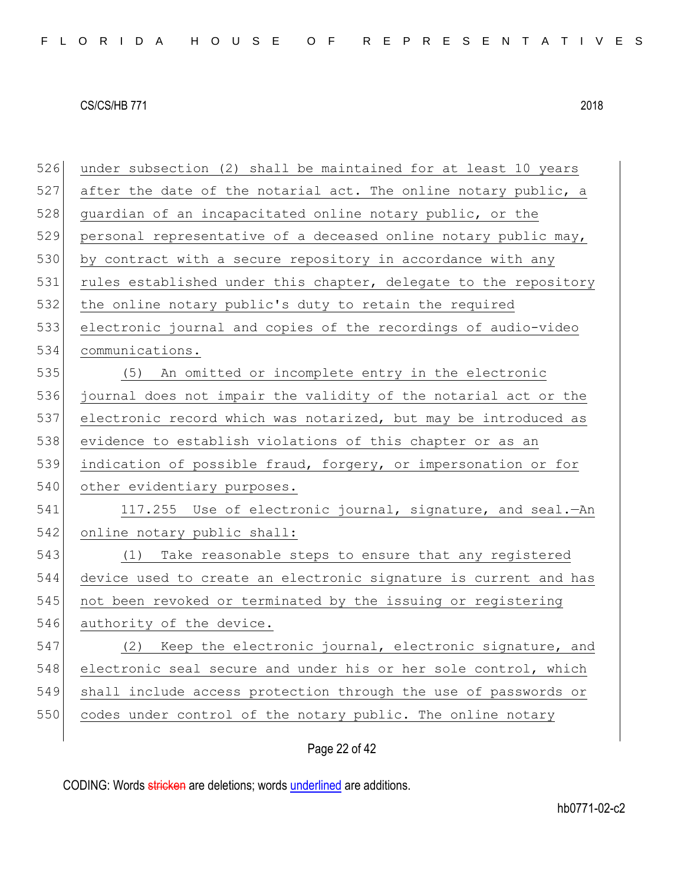526 under subsection (2) shall be maintained for at least 10 years  $527$  after the date of the notarial act. The online notary public, a 528 guardian of an incapacitated online notary public, or the 529 personal representative of a deceased online notary public may, 530 by contract with a secure repository in accordance with any 531 rules established under this chapter, delegate to the repository 532 the online notary public's duty to retain the required 533 electronic journal and copies of the recordings of audio-video 534 communications. 535 (5) An omitted or incomplete entry in the electronic 536 journal does not impair the validity of the notarial act or the 537 electronic record which was notarized, but may be introduced as 538 evidence to establish violations of this chapter or as an 539 indication of possible fraud, forgery, or impersonation or for 540 other evidentiary purposes. 541 117.255 Use of electronic journal, signature, and seal.—An 542 online notary public shall: 543 (1) Take reasonable steps to ensure that any registered 544 device used to create an electronic signature is current and has 545 not been revoked or terminated by the issuing or registering 546 authority of the device. 547 (2) Keep the electronic journal, electronic signature, and 548 electronic seal secure and under his or her sole control, which 549 shall include access protection through the use of passwords or 550 codes under control of the notary public. The online notary

# Page 22 of 42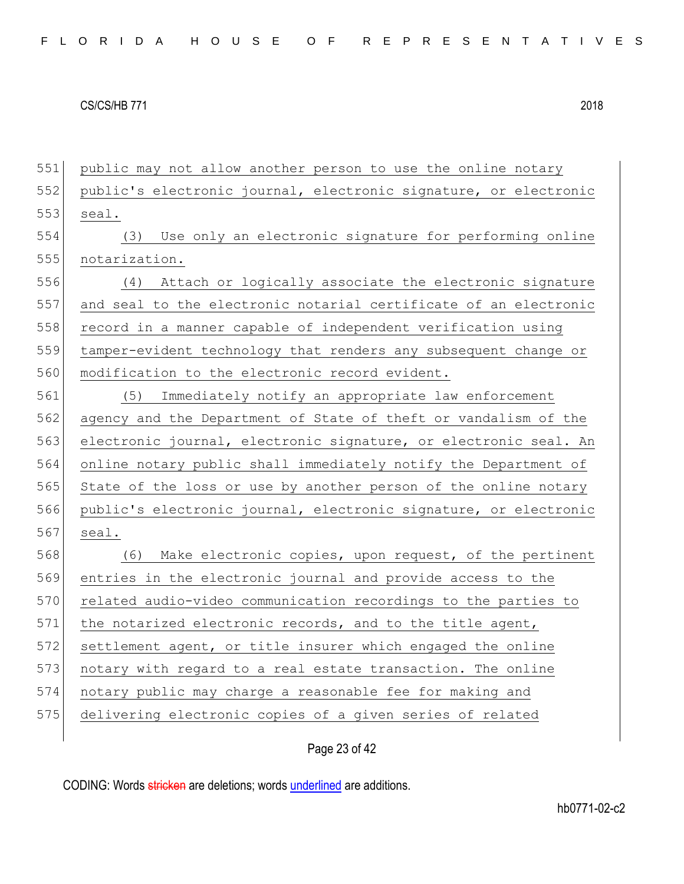551 public may not allow another person to use the online notary 552 public's electronic journal, electronic signature, or electronic 553 seal. 554 (3) Use only an electronic signature for performing online 555 notarization. 556 (4) Attach or logically associate the electronic signature 557 and seal to the electronic notarial certificate of an electronic 558 record in a manner capable of independent verification using 559 tamper-evident technology that renders any subsequent change or 560 modification to the electronic record evident. 561 (5) Immediately notify an appropriate law enforcement 562 agency and the Department of State of theft or vandalism of the 563 electronic journal, electronic signature, or electronic seal. An 564 online notary public shall immediately notify the Department of 565 State of the loss or use by another person of the online notary 566 public's electronic journal, electronic signature, or electronic 567 seal. 568 (6) Make electronic copies, upon request, of the pertinent 569 entries in the electronic journal and provide access to the 570 related audio-video communication recordings to the parties to 571 the notarized electronic records, and to the title agent, 572 settlement agent, or title insurer which engaged the online 573 notary with regard to a real estate transaction. The online 574 notary public may charge a reasonable fee for making and 575 delivering electronic copies of a given series of related

# Page 23 of 42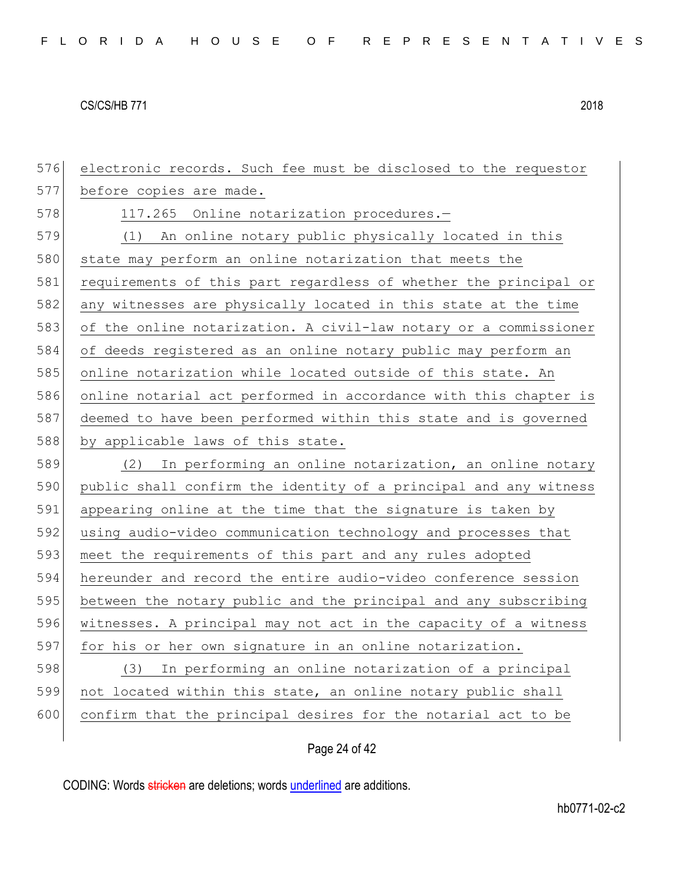576 electronic records. Such fee must be disclosed to the requestor 577 before copies are made. 578 117.265 Online notarization procedures.-579 (1) An online notary public physically located in this 580 state may perform an online notarization that meets the 581 requirements of this part regardless of whether the principal or 582 any witnesses are physically located in this state at the time 583 of the online notarization. A civil-law notary or a commissioner 584 of deeds registered as an online notary public may perform an 585 online notarization while located outside of this state. An 586 online notarial act performed in accordance with this chapter is 587 deemed to have been performed within this state and is governed 588 by applicable laws of this state. 589 (2) In performing an online notarization, an online notary 590 public shall confirm the identity of a principal and any witness 591 appearing online at the time that the signature is taken by 592 using audio-video communication technology and processes that 593 meet the requirements of this part and any rules adopted 594 hereunder and record the entire audio-video conference session 595 between the notary public and the principal and any subscribing 596 witnesses. A principal may not act in the capacity of a witness 597 for his or her own signature in an online notarization. 598 (3) In performing an online notarization of a principal 599 not located within this state, an online notary public shall 600 confirm that the principal desires for the notarial act to be

# Page 24 of 42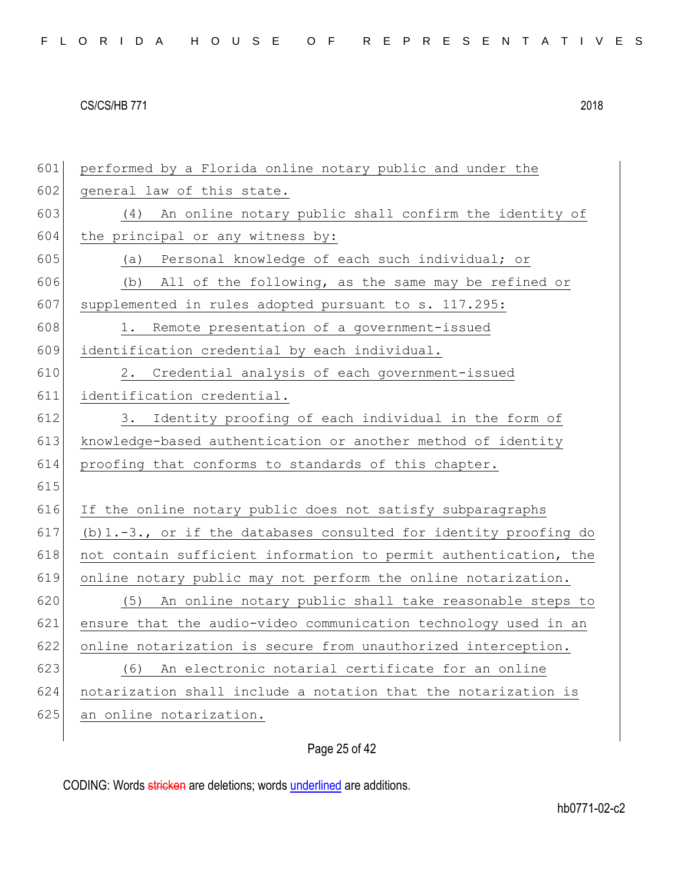performed by a Florida online notary public and under the 602 general law of this state. (4) An online notary public shall confirm the identity of the principal or any witness by: (a) Personal knowledge of each such individual; or (b) All of the following, as the same may be refined or 607 supplemented in rules adopted pursuant to s. 117.295: 608 1. Remote presentation of a government-issued identification credential by each individual. 2. Credential analysis of each government-issued identification credential. 3. Identity proofing of each individual in the form of 613 knowledge-based authentication or another method of identity proofing that conforms to standards of this chapter. 615 If the online notary public does not satisfy subparagraphs 617 (b)1.-3., or if the databases consulted for identity proofing do 618 not contain sufficient information to permit authentication, the online notary public may not perform the online notarization. (5) An online notary public shall take reasonable steps to ensure that the audio-video communication technology used in an online notarization is secure from unauthorized interception. (6) An electronic notarial certificate for an online notarization shall include a notation that the notarization is 625 an online notarization.

# Page 25 of 42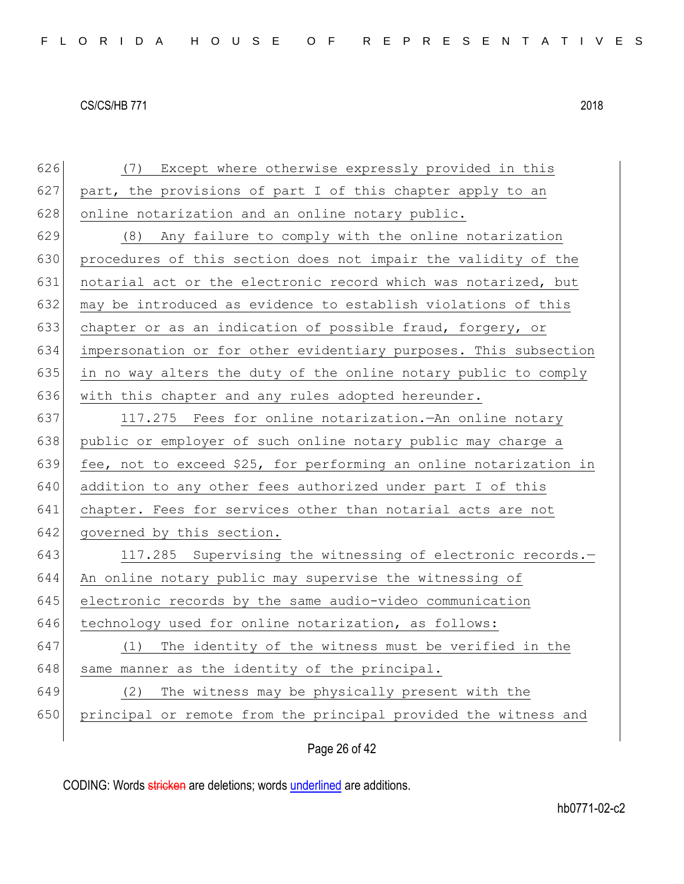| 626 | Except where otherwise expressly provided in this<br>(7)          |
|-----|-------------------------------------------------------------------|
| 627 | part, the provisions of part I of this chapter apply to an        |
| 628 | online notarization and an online notary public.                  |
| 629 | (8) Any failure to comply with the online notarization            |
| 630 | procedures of this section does not impair the validity of the    |
| 631 | notarial act or the electronic record which was notarized, but    |
| 632 | may be introduced as evidence to establish violations of this     |
| 633 | chapter or as an indication of possible fraud, forgery, or        |
| 634 | impersonation or for other evidentiary purposes. This subsection  |
| 635 | in no way alters the duty of the online notary public to comply   |
| 636 | with this chapter and any rules adopted hereunder.                |
| 637 | 117.275 Fees for online notarization. An online notary            |
| 638 | public or employer of such online notary public may charge a      |
| 639 | fee, not to exceed \$25, for performing an online notarization in |
| 640 | addition to any other fees authorized under part I of this        |
| 641 | chapter. Fees for services other than notarial acts are not       |
| 642 | governed by this section.                                         |
| 643 | 117.285 Supervising the witnessing of electronic records.-        |
| 644 | An online notary public may supervise the witnessing of           |
| 645 | electronic records by the same audio-video communication          |
| 646 | technology used for online notarization, as follows:              |
| 647 | The identity of the witness must be verified in the<br>(1)        |
| 648 | same manner as the identity of the principal.                     |
| 649 | The witness may be physically present with the<br>(2)             |
| 650 | principal or remote from the principal provided the witness and   |
|     |                                                                   |

# Page 26 of 42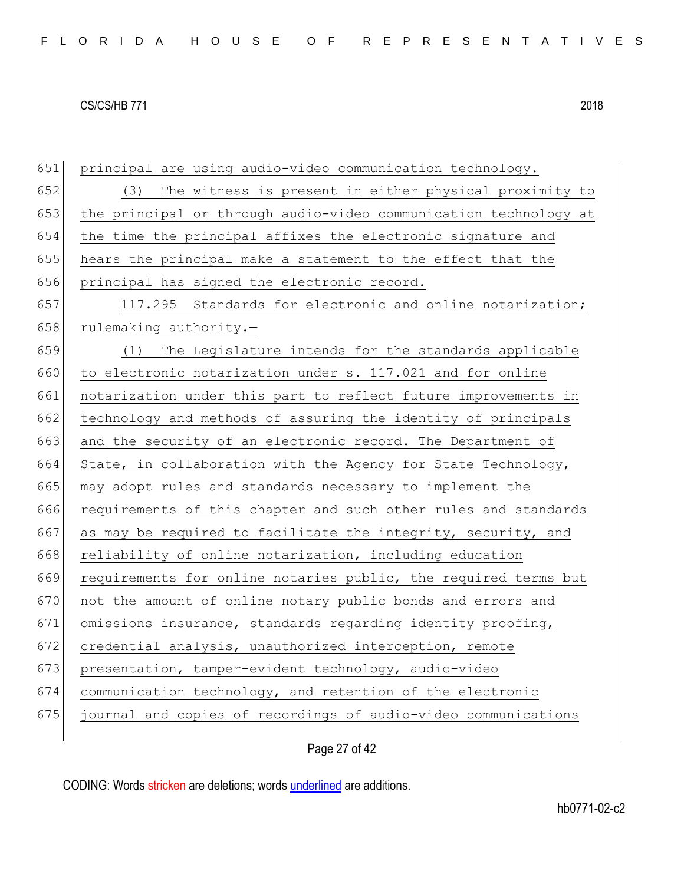651 principal are using audio-video communication technology. 652 (3) The witness is present in either physical proximity to 653 the principal or through audio-video communication technology at 654 the time the principal affixes the electronic signature and 655 hears the principal make a statement to the effect that the 656 principal has signed the electronic record. 657 117.295 Standards for electronic and online notarization; 658 rulemaking authority. $-$ 659 (1) The Legislature intends for the standards applicable 660 to electronic notarization under s. 117.021 and for online 661 notarization under this part to reflect future improvements in 662 technology and methods of assuring the identity of principals 663 and the security of an electronic record. The Department of 664 State, in collaboration with the Agency for State Technology, 665 may adopt rules and standards necessary to implement the 666 requirements of this chapter and such other rules and standards 667 as may be required to facilitate the integrity, security, and 668 reliability of online notarization, including education 669 requirements for online notaries public, the required terms but 670 not the amount of online notary public bonds and errors and 671 omissions insurance, standards regarding identity proofing, 672 credential analysis, unauthorized interception, remote 673 presentation, tamper-evident technology, audio-video 674 communication technology, and retention of the electronic 675 journal and copies of recordings of audio-video communications

# Page 27 of 42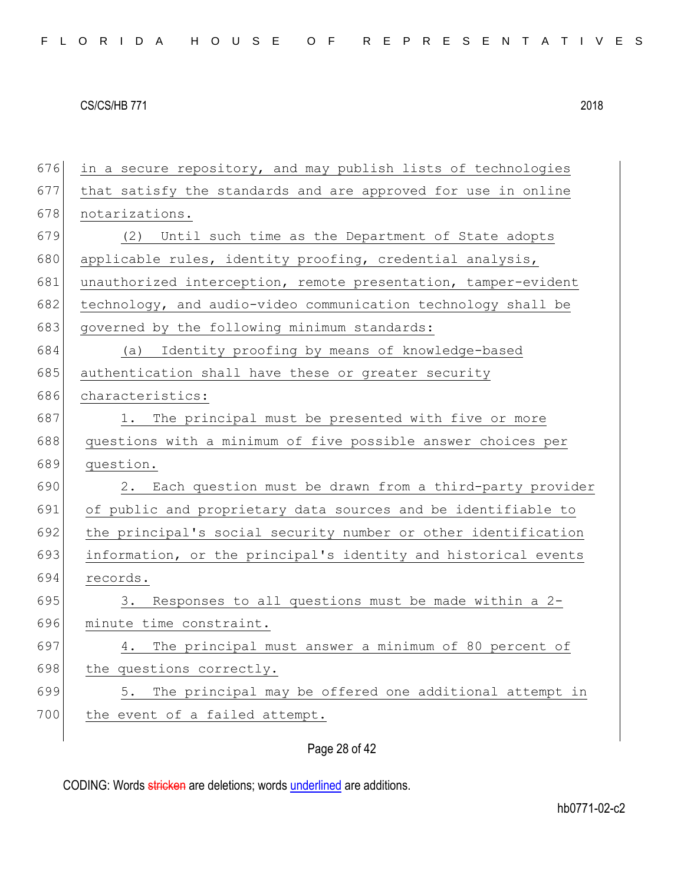676 in a secure repository, and may publish lists of technologies 677 that satisfy the standards and are approved for use in online 678 notarizations. 679 (2) Until such time as the Department of State adopts 680 applicable rules, identity proofing, credential analysis, 681 unauthorized interception, remote presentation, tamper-evident 682 technology, and audio-video communication technology shall be 683 governed by the following minimum standards: 684 (a) Identity proofing by means of knowledge-based 685 authentication shall have these or greater security 686 characteristics: 687 1. The principal must be presented with five or more 688 questions with a minimum of five possible answer choices per 689 question. 690 2. Each question must be drawn from a third-party provider 691 of public and proprietary data sources and be identifiable to 692 the principal's social security number or other identification 693 information, or the principal's identity and historical events 694 records. 695 3. Responses to all questions must be made within a  $2-$ 696 minute time constraint. 697 4. The principal must answer a minimum of 80 percent of 698 the questions correctly. 699 5. The principal may be offered one additional attempt in 700 the event of a failed attempt.

Page 28 of 42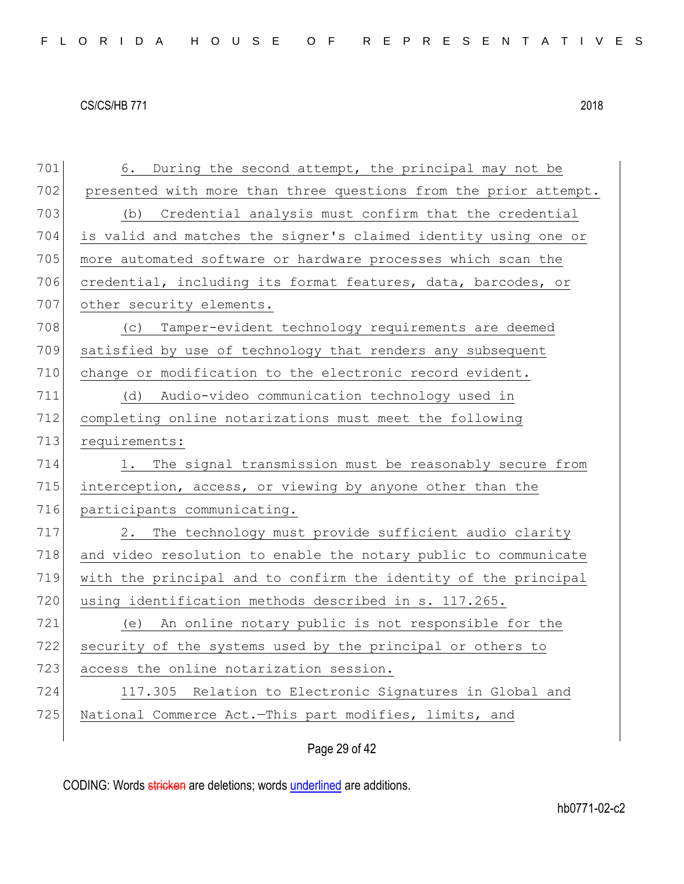| 701 | During the second attempt, the principal may not be<br>6.        |
|-----|------------------------------------------------------------------|
| 702 | presented with more than three questions from the prior attempt. |
| 703 | (b) Credential analysis must confirm that the credential         |
| 704 | is valid and matches the signer's claimed identity using one or  |
| 705 | more automated software or hardware processes which scan the     |
| 706 | credential, including its format features, data, barcodes, or    |
| 707 | other security elements.                                         |
| 708 | Tamper-evident technology requirements are deemed<br>(C)         |
| 709 | satisfied by use of technology that renders any subsequent       |
| 710 | change or modification to the electronic record evident.         |
| 711 | Audio-video communication technology used in<br>(d)              |
| 712 | completing online notarizations must meet the following          |
| 713 | requirements:                                                    |
| 714 | The signal transmission must be reasonably secure from<br>1.     |
| 715 | interception, access, or viewing by anyone other than the        |
| 716 | participants communicating.                                      |
| 717 | The technology must provide sufficient audio clarity<br>2.       |
| 718 | and video resolution to enable the notary public to communicate  |
| 719 | with the principal and to confirm the identity of the principal  |
| 720 | using identification methods described in s. 117.265.            |
| 721 | (e) An online notary public is not responsible for the           |
| 722 | security of the systems used by the principal or others to       |
| 723 | access the online notarization session.                          |
| 724 | 117.305 Relation to Electronic Signatures in Global and          |
| 725 | National Commerce Act.-This part modifies, limits, and           |
|     |                                                                  |

# Page 29 of 42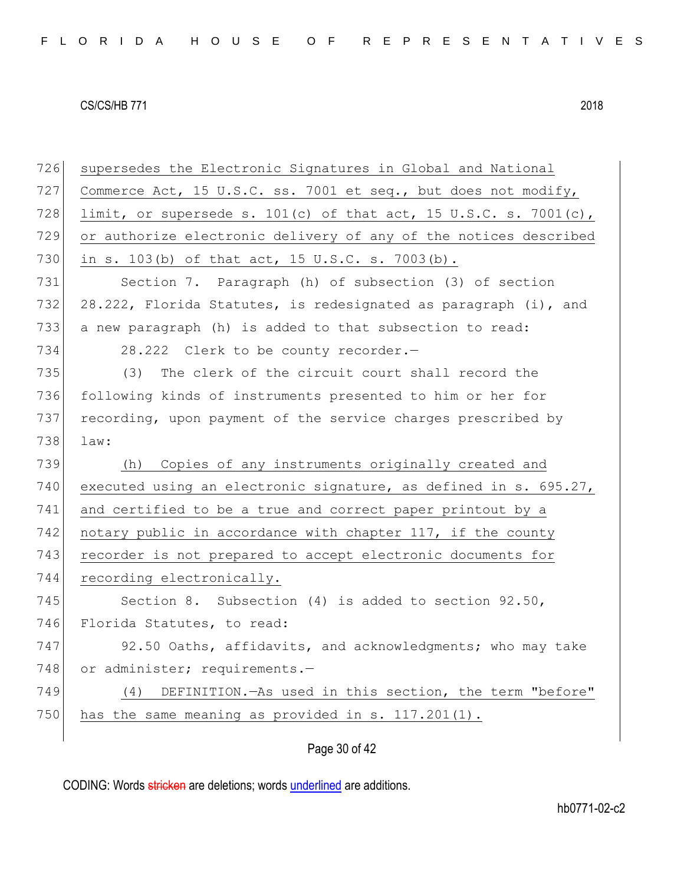| 726 | supersedes the Electronic Signatures in Global and National        |
|-----|--------------------------------------------------------------------|
| 727 | Commerce Act, 15 U.S.C. ss. 7001 et seq., but does not modify,     |
| 728 | limit, or supersede s. $101(c)$ of that act, 15 U.S.C. s. 7001(c), |
| 729 | or authorize electronic delivery of any of the notices described   |
| 730 | in s. 103(b) of that act, 15 U.S.C. s. 7003(b).                    |
| 731 | Section 7. Paragraph (h) of subsection (3) of section              |
| 732 | 28.222, Florida Statutes, is redesignated as paragraph (i), and    |
| 733 | a new paragraph (h) is added to that subsection to read:           |
| 734 | 28.222 Clerk to be county recorder.-                               |
| 735 | The clerk of the circuit court shall record the<br>(3)             |
| 736 | following kinds of instruments presented to him or her for         |
| 737 | recording, upon payment of the service charges prescribed by       |
| 738 | law:                                                               |
| 739 | (h) Copies of any instruments originally created and               |
| 740 | executed using an electronic signature, as defined in s. 695.27,   |
| 741 | and certified to be a true and correct paper printout by a         |
| 742 | notary public in accordance with chapter 117, if the county        |
| 743 | recorder is not prepared to accept electronic documents for        |
| 744 | recording electronically.                                          |
| 745 | Section 8. Subsection (4) is added to section $92.50$ ,            |
| 746 | Florida Statutes, to read:                                         |
| 747 | 92.50 Oaths, affidavits, and acknowledgments; who may take         |
| 748 | or administer; requirements.-                                      |
| 749 | DEFINITION.-As used in this section, the term "before"<br>(4)      |
| 750 | has the same meaning as provided in s. 117.201(1).                 |
|     |                                                                    |

Page 30 of 42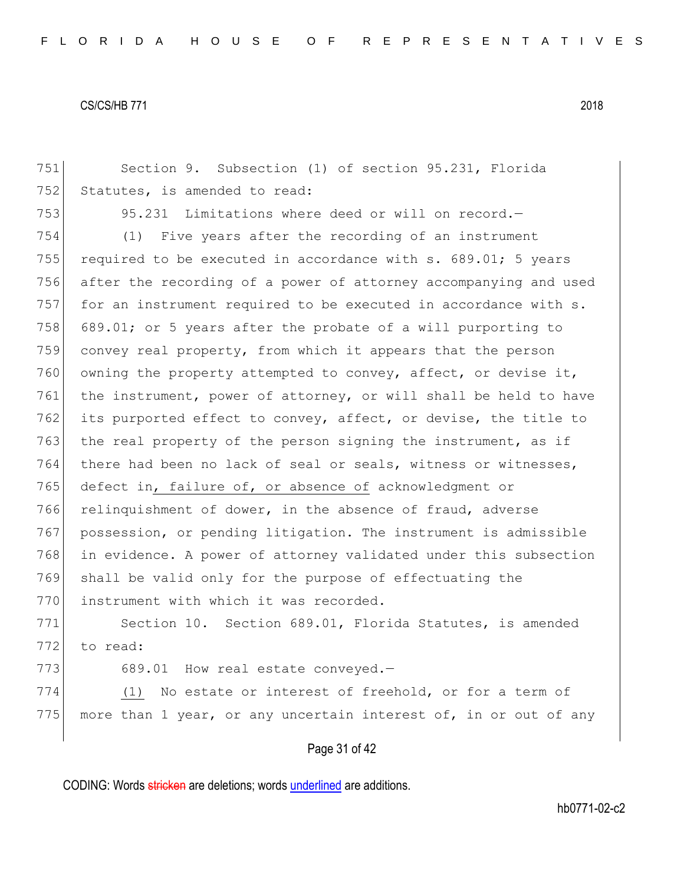751 Section 9. Subsection (1) of section 95.231, Florida 752 Statutes, is amended to read:

753 95.231 Limitations where deed or will on record.

754 (1) Five years after the recording of an instrument 755 required to be executed in accordance with  $s. 689.01$ ; 5 years 756 after the recording of a power of attorney accompanying and used 757 for an instrument required to be executed in accordance with s. 758 689.01; or 5 years after the probate of a will purporting to 759 convey real property, from which it appears that the person 760 owning the property attempted to convey, affect, or devise it, 761 the instrument, power of attorney, or will shall be held to have 762 its purported effect to convey, affect, or devise, the title to 763 the real property of the person signing the instrument, as if 764 there had been no lack of seal or seals, witness or witnesses, 765 defect in, failure of, or absence of acknowledgment or 766 relinquishment of dower, in the absence of fraud, adverse 767 possession, or pending litigation. The instrument is admissible 768 in evidence. A power of attorney validated under this subsection 769 shall be valid only for the purpose of effectuating the 770 instrument with which it was recorded.

771 Section 10. Section 689.01, Florida Statutes, is amended 772 to read:

773 689.01 How real estate conveyed.-

774  $(1)$  No estate or interest of freehold, or for a term of 775 more than 1 year, or any uncertain interest of, in or out of any

## Page 31 of 42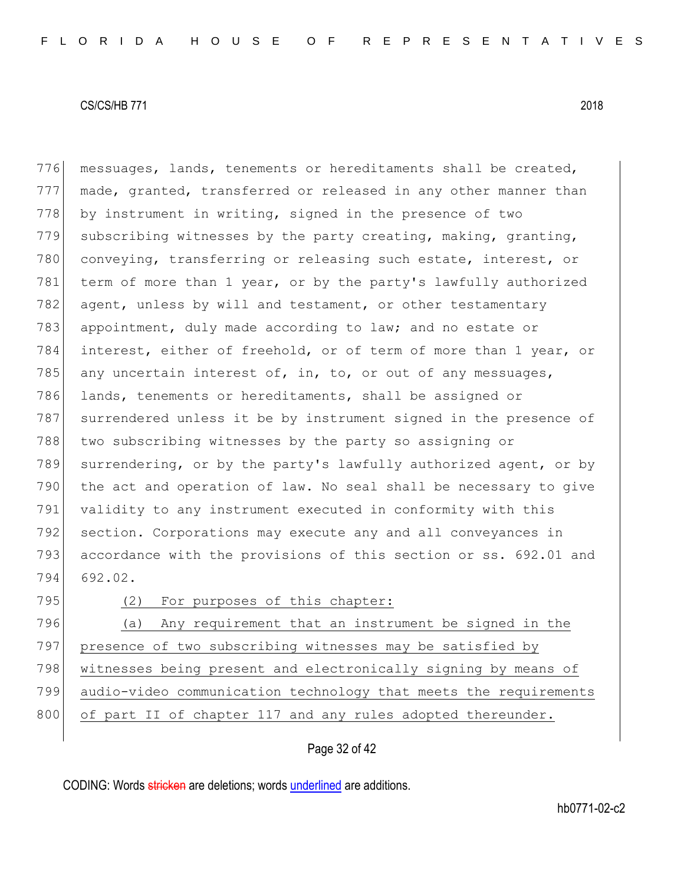776 messuages, lands, tenements or hereditaments shall be created, 777 made, granted, transferred or released in any other manner than 778 by instrument in writing, signed in the presence of two 779 subscribing witnesses by the party creating, making, granting, 780 conveying, transferring or releasing such estate, interest, or

781 term of more than 1 year, or by the party's lawfully authorized 782 agent, unless by will and testament, or other testamentary 783 appointment, duly made according to law; and no estate or 784 interest, either of freehold, or of term of more than 1 year, or 785 any uncertain interest of, in, to, or out of any messuages, 786 lands, tenements or hereditaments, shall be assigned or 787 surrendered unless it be by instrument signed in the presence of 788 two subscribing witnesses by the party so assigning or 789 surrendering, or by the party's lawfully authorized agent, or by 790 the act and operation of law. No seal shall be necessary to give 791 validity to any instrument executed in conformity with this 792 section. Corporations may execute any and all conveyances in 793 accordance with the provisions of this section or ss. 692.01 and 794 692.02.

795 (2) For purposes of this chapter:

796 (a) Any requirement that an instrument be signed in the 797 presence of two subscribing witnesses may be satisfied by 798 witnesses being present and electronically signing by means of 799 audio-video communication technology that meets the requirements 800 of part II of chapter 117 and any rules adopted thereunder.

# Page 32 of 42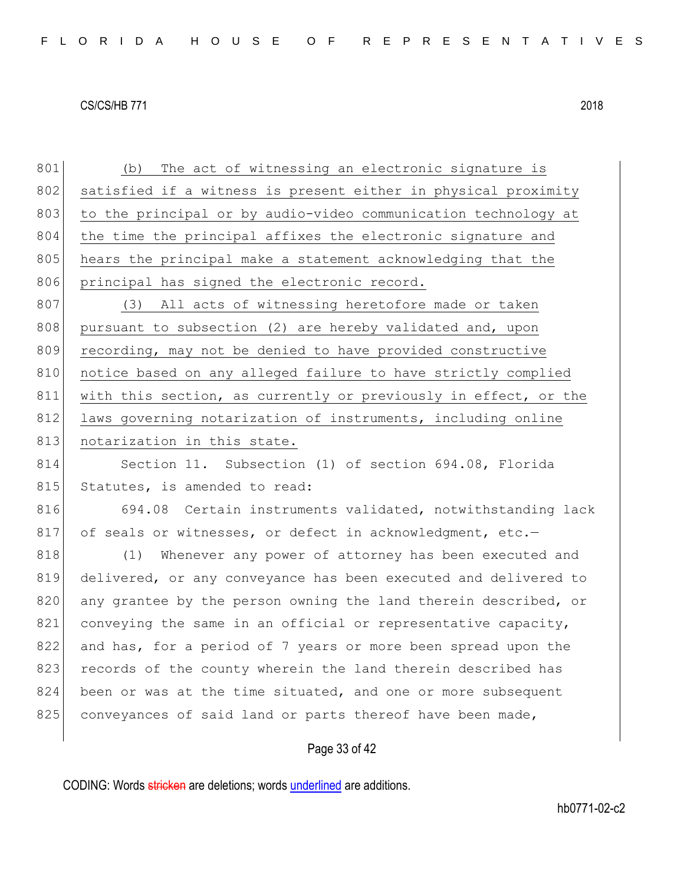801 (b) The act of witnessing an electronic signature is 802 satisfied if a witness is present either in physical proximity 803 to the principal or by audio-video communication technology at 804 the time the principal affixes the electronic signature and 805 hears the principal make a statement acknowledging that the 806 principal has signed the electronic record. 807 (3) All acts of witnessing heretofore made or taken 808 pursuant to subsection (2) are hereby validated and, upon 809 recording, may not be denied to have provided constructive 810 notice based on any alleged failure to have strictly complied 811 with this section, as currently or previously in effect, or the 812 laws governing notarization of instruments, including online 813 notarization in this state. 814 Section 11. Subsection (1) of section 694.08, Florida 815 Statutes, is amended to read: 816 694.08 Certain instruments validated, notwithstanding lack 817 of seals or witnesses, or defect in acknowledgment, etc.-818 (1) Whenever any power of attorney has been executed and 819 delivered, or any conveyance has been executed and delivered to 820 any grantee by the person owning the land therein described, or 821 conveying the same in an official or representative capacity, 822 and has, for a period of 7 years or more been spread upon the 823 records of the county wherein the land therein described has 824 been or was at the time situated, and one or more subsequent 825 conveyances of said land or parts thereof have been made,

## Page 33 of 42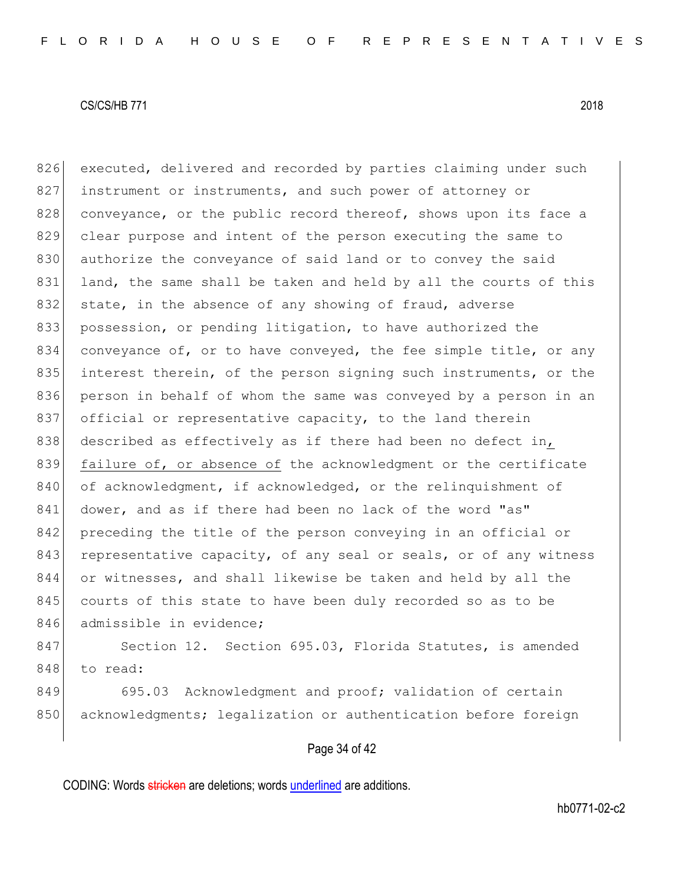826 executed, delivered and recorded by parties claiming under such 827 instrument or instruments, and such power of attorney or 828 conveyance, or the public record thereof, shows upon its face a 829 clear purpose and intent of the person executing the same to 830 authorize the conveyance of said land or to convey the said 831 land, the same shall be taken and held by all the courts of this 832 state, in the absence of any showing of fraud, adverse 833 possession, or pending litigation, to have authorized the 834 conveyance of, or to have conveyed, the fee simple title, or any 835 interest therein, of the person signing such instruments, or the 836 person in behalf of whom the same was conveyed by a person in an 837 official or representative capacity, to the land therein 838 described as effectively as if there had been no defect in, 839 failure of, or absence of the acknowledgment or the certificate 840 of acknowledgment, if acknowledged, or the relinguishment of 841 dower, and as if there had been no lack of the word "as" 842 preceding the title of the person conveying in an official or 843 representative capacity, of any seal or seals, or of any witness 844 or witnesses, and shall likewise be taken and held by all the 845 courts of this state to have been duly recorded so as to be 846 admissible in evidence; 847 Section 12. Section 695.03, Florida Statutes, is amended

848 to read:

849 695.03 Acknowledgment and proof; validation of certain 850 acknowledgments; legalization or authentication before foreign

## Page 34 of 42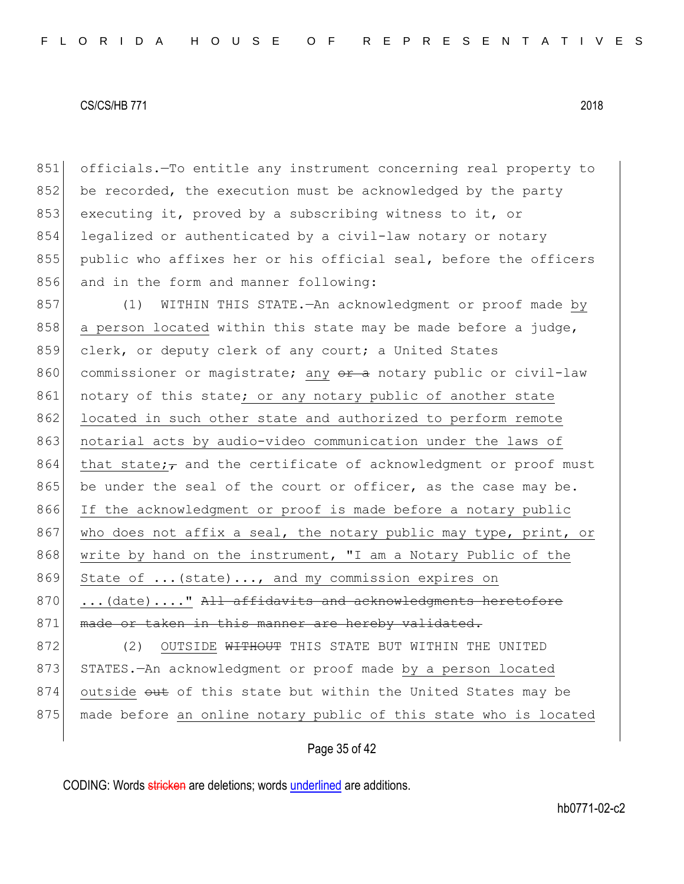851 officials.—To entitle any instrument concerning real property to 852 be recorded, the execution must be acknowledged by the party 853 executing it, proved by a subscribing witness to it, or 854 legalized or authenticated by a civil-law notary or notary 855 | public who affixes her or his official seal, before the officers 856 and in the form and manner following:

857 (1) WITHIN THIS STATE.—An acknowledgment or proof made by 858 a person located within this state may be made before a judge, 859 clerk, or deputy clerk of any court; a United States 860 commissioner or magistrate; any or a notary public or civil-law 861 notary of this state; or any notary public of another state 862 located in such other state and authorized to perform remote 863 notarial acts by audio-video communication under the laws of 864 that state; and the certificate of acknowledgment or proof must 865 be under the seal of the court or officer, as the case may be. 866 If the acknowledgment or proof is made before a notary public 867 who does not affix a seal, the notary public may type, print, or 868 write by hand on the instrument, "I am a Notary Public of the 869 State of  $\ldots$  (state)..., and my commission expires on 870 ...(date)...." All affidavits and acknowledgments heretofore 871 made or taken in this manner are hereby validated. 872 (2) OUTSIDE WITHOUT THIS STATE BUT WITHIN THE UNITED 873 STATES.—An acknowledgment or proof made by a person located 874 outside out of this state but within the United States may be 875 made before an online notary public of this state who is located

Page 35 of 42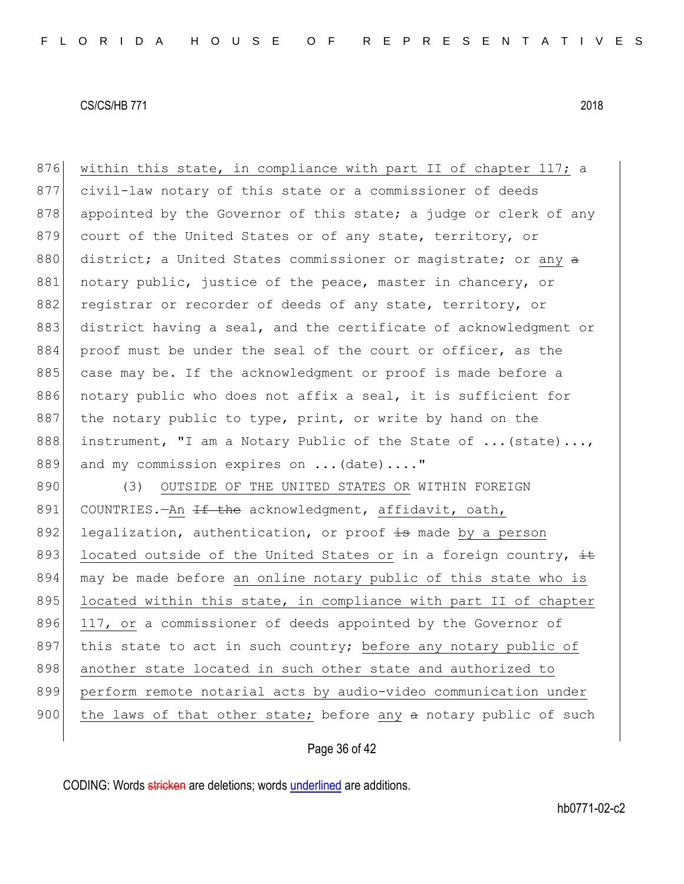876 within this state, in compliance with part II of chapter 117; a 877 civil-law notary of this state or a commissioner of deeds 878 appointed by the Governor of this state; a judge or clerk of any 879 court of the United States or of any state, territory, or 880 district; a United States commissioner or magistrate; or any a 881 notary public, justice of the peace, master in chancery, or 882 registrar or recorder of deeds of any state, territory, or 883 district having a seal, and the certificate of acknowledgment or 884 proof must be under the seal of the court or officer, as the 885 case may be. If the acknowledgment or proof is made before a 886 notary public who does not affix a seal, it is sufficient for 887 the notary public to type, print, or write by hand on the 888 instrument, "I am a Notary Public of the State of ... (state)..., 889 and my commission expires on ... (date)...."

890 (3) OUTSIDE OF THE UNITED STATES OR WITHIN FOREIGN 891 COUNTRIES.—An  $H$  the acknowledgment, affidavit, oath, 892 legalization, authentication, or proof  $\pm$ s made by a person 893 located outside of the United States or in a foreign country,  $\pm$ 894 may be made before an online notary public of this state who is 895 located within this state, in compliance with part II of chapter 896 117, or a commissioner of deeds appointed by the Governor of 897 this state to act in such country; before any notary public of 898 another state located in such other state and authorized to 899 perform remote notarial acts by audio-video communication under 900 the laws of that other state; before any a notary public of such

## Page 36 of 42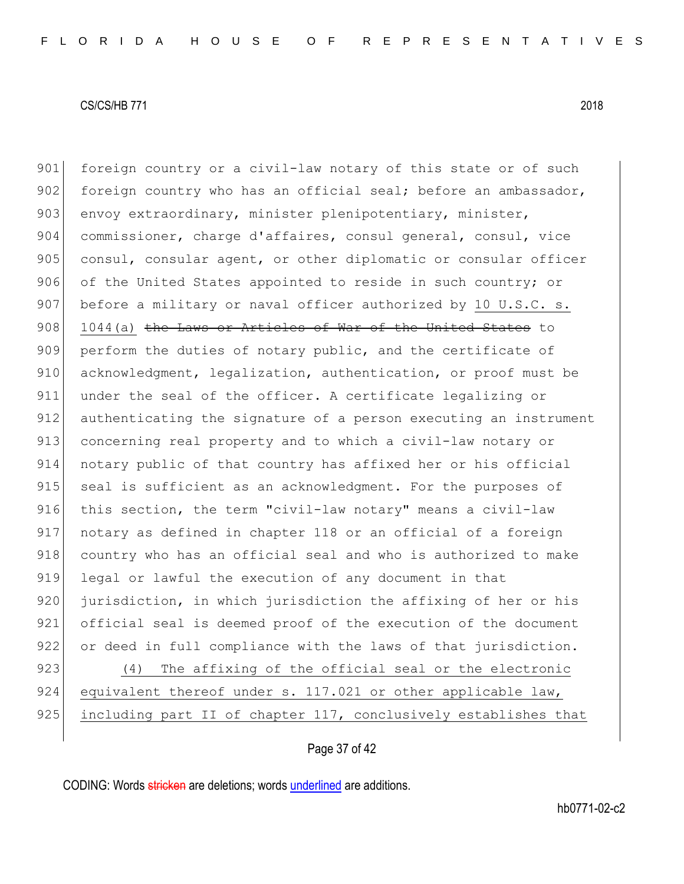901 foreign country or a civil-law notary of this state or of such 902 foreign country who has an official seal; before an ambassador, 903 envoy extraordinary, minister plenipotentiary, minister, 904 commissioner, charge d'affaires, consul general, consul, vice 905 consul, consular agent, or other diplomatic or consular officer 906 of the United States appointed to reside in such country; or 907 before a military or naval officer authorized by 10 U.S.C. s. 908 1044(a) the Laws or Articles of War of the United States to 909 perform the duties of notary public, and the certificate of 910 acknowledgment, legalization, authentication, or proof must be 911 under the seal of the officer. A certificate legalizing or 912 authenticating the signature of a person executing an instrument 913 concerning real property and to which a civil-law notary or 914 notary public of that country has affixed her or his official 915 seal is sufficient as an acknowledgment. For the purposes of 916 this section, the term "civil-law notary" means a civil-law 917 notary as defined in chapter 118 or an official of a foreign 918 country who has an official seal and who is authorized to make 919 legal or lawful the execution of any document in that 920 jurisdiction, in which jurisdiction the affixing of her or his 921 official seal is deemed proof of the execution of the document 922 or deed in full compliance with the laws of that jurisdiction. 923 (4) The affixing of the official seal or the electronic 924 equivalent thereof under s. 117.021 or other applicable law,

## Page 37 of 42

925 including part II of chapter 117, conclusively establishes that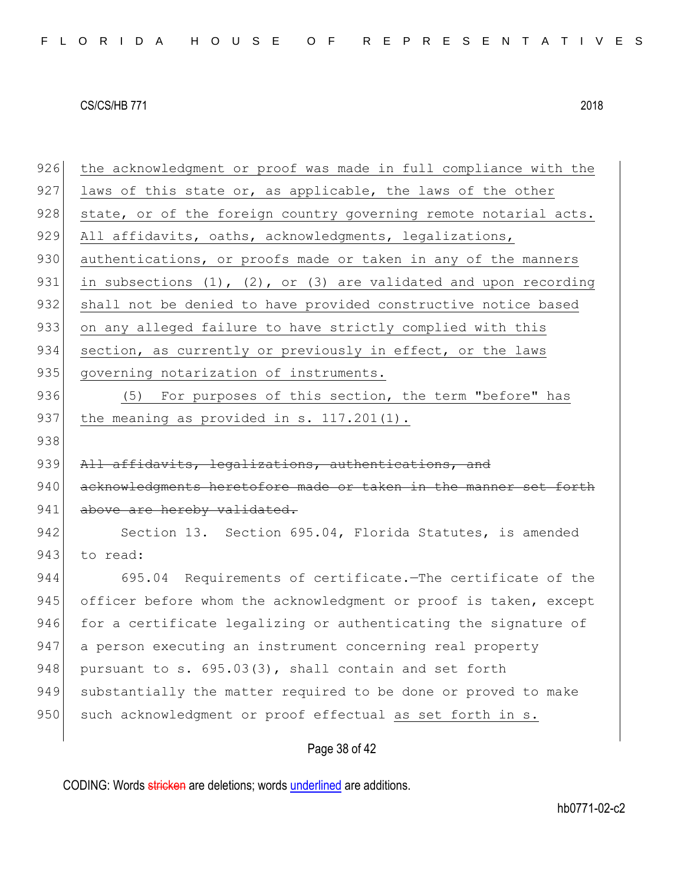938

926 the acknowledgment or proof was made in full compliance with the 927 laws of this state or, as applicable, the laws of the other 928 state, or of the foreign country governing remote notarial acts. 929 All affidavits, oaths, acknowledgments, legalizations, 930 authentications, or proofs made or taken in any of the manners 931 in subsections  $(1)$ ,  $(2)$ , or  $(3)$  are validated and upon recording 932 shall not be denied to have provided constructive notice based 933 on any alleged failure to have strictly complied with this 934 section, as currently or previously in effect, or the laws 935 governing notarization of instruments. 936 (5) For purposes of this section, the term "before" has 937 the meaning as provided in s. 117.201(1). 939 All affidavits, legalizations, authentications, and 940 acknowledgments heretofore made or taken in the manner set 941 above are hereby validated. 942 Section 13. Section 695.04, Florida Statutes, is amended 943 to read: 944 695.04 Requirements of certificate.—The certificate of the 945 officer before whom the acknowledgment or proof is taken, except 946 for a certificate legalizing or authenticating the signature of 947 a person executing an instrument concerning real property 948 pursuant to s.  $695.03(3)$ , shall contain and set forth 949 substantially the matter required to be done or proved to make 950 such acknowledgment or proof effectual as set forth in s.

## Page 38 of 42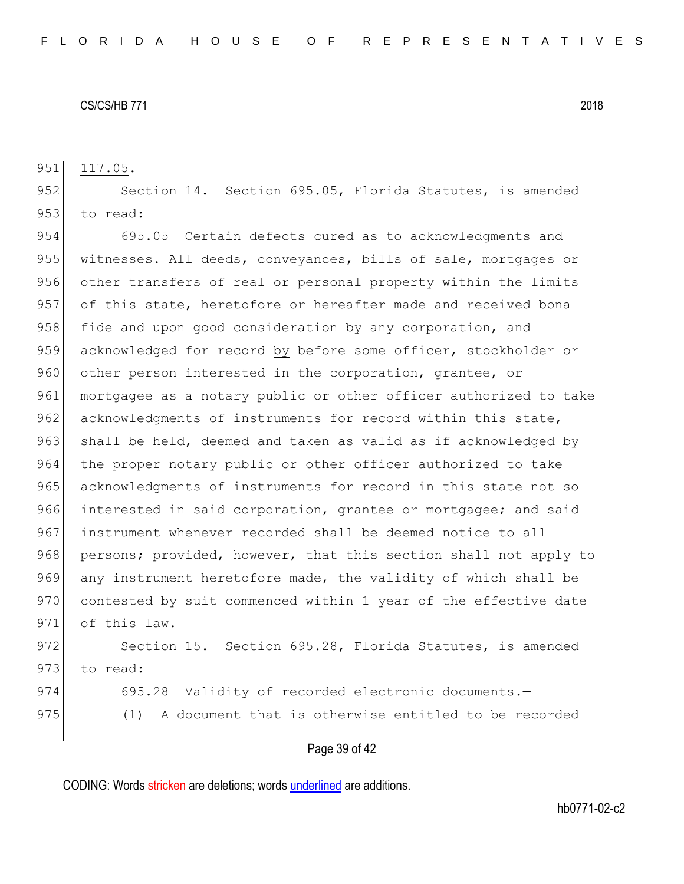951 117.05.

952 Section 14. Section 695.05, Florida Statutes, is amended 953 to read:

954 695.05 Certain defects cured as to acknowledgments and 955 witnesses.—All deeds, conveyances, bills of sale, mortgages or 956 other transfers of real or personal property within the limits 957 of this state, heretofore or hereafter made and received bona 958 fide and upon good consideration by any corporation, and 959 acknowledged for record by before some officer, stockholder or 960 other person interested in the corporation, grantee, or 961 mortgagee as a notary public or other officer authorized to take 962 acknowledgments of instruments for record within this state, 963 shall be held, deemed and taken as valid as if acknowledged by 964 the proper notary public or other officer authorized to take 965 acknowledgments of instruments for record in this state not so 966 interested in said corporation, grantee or mortgagee; and said 967 instrument whenever recorded shall be deemed notice to all 968 persons; provided, however, that this section shall not apply to 969 any instrument heretofore made, the validity of which shall be 970 contested by suit commenced within 1 year of the effective date 971 of this law.

972 Section 15. Section 695.28, Florida Statutes, is amended 973 to read:

- 974 695.28 Validity of recorded electronic documents.
- 975 (1) A document that is otherwise entitled to be recorded

## Page 39 of 42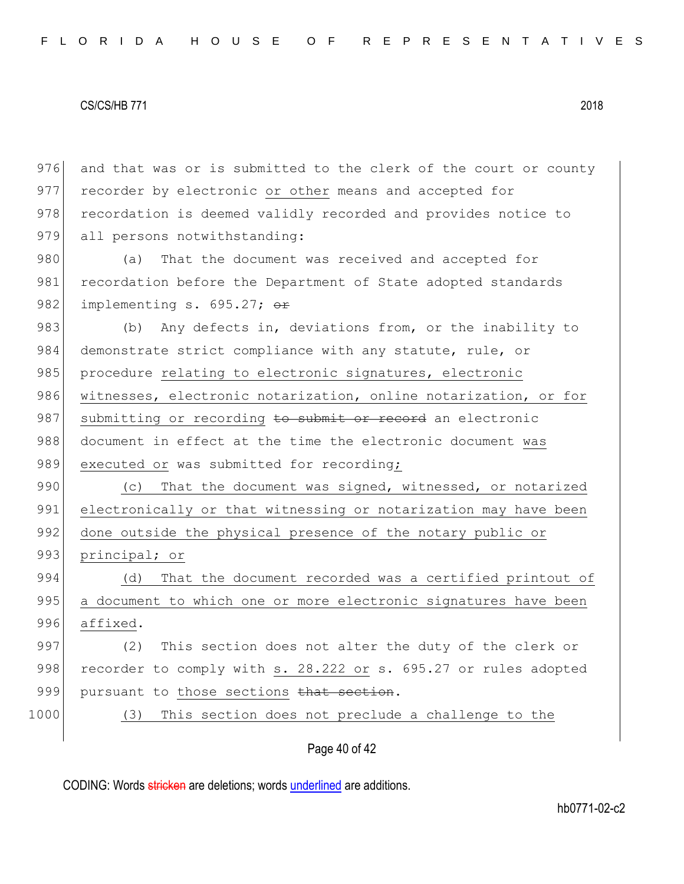976 and that was or is submitted to the clerk of the court or county 977 recorder by electronic or other means and accepted for 978 recordation is deemed validly recorded and provides notice to 979 all persons notwithstanding: 980 (a) That the document was received and accepted for 981 recordation before the Department of State adopted standards 982 implementing s. 695.27;  $\Theta$ r 983 (b) Any defects in, deviations from, or the inability to 984 demonstrate strict compliance with any statute, rule, or 985 procedure relating to electronic signatures, electronic 986 witnesses, electronic notarization, online notarization, or for 987 submitting or recording to submit or record an electronic 988 document in effect at the time the electronic document was 989 executed or was submitted for recording; 990 (c) That the document was signed, witnessed, or notarized 991 electronically or that witnessing or notarization may have been 992 done outside the physical presence of the notary public or 993 principal; or 994 (d) That the document recorded was a certified printout of 995 a document to which one or more electronic signatures have been 996 affixed. 997 (2) This section does not alter the duty of the clerk or 998 recorder to comply with s. 28.222 or s. 695.27 or rules adopted 999 pursuant to those sections that section. 1000 (3) This section does not preclude a challenge to the

# Page 40 of 42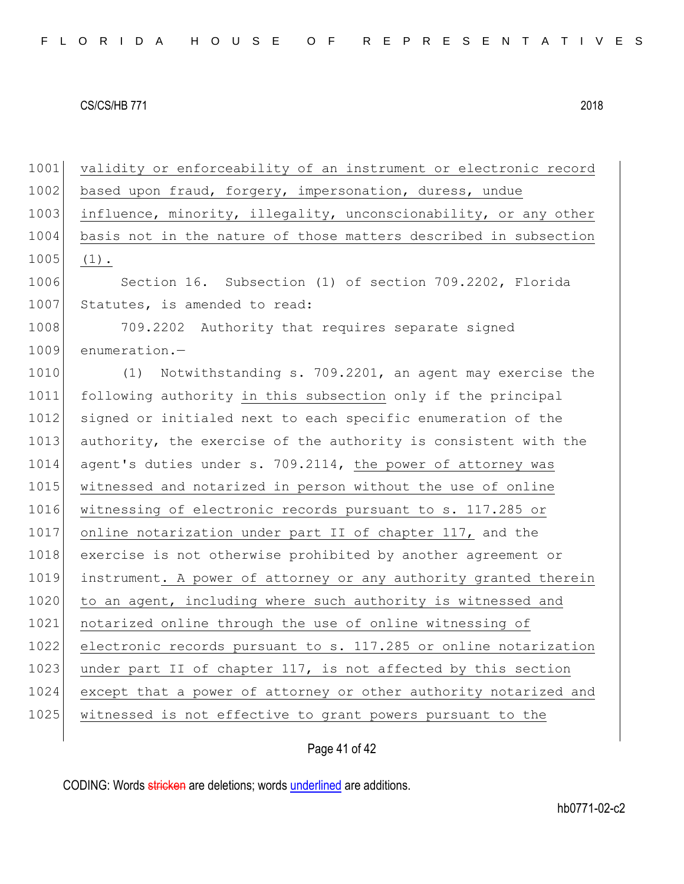1001 validity or enforceability of an instrument or electronic record 1002 based upon fraud, forgery, impersonation, duress, undue 1003 influence, minority, illegality, unconscionability, or any other 1004 basis not in the nature of those matters described in subsection 1005 (1). 1006 Section 16. Subsection (1) of section 709.2202, Florida 1007 Statutes, is amended to read: 1008 709.2202 Authority that requires separate signed 1009 enumeration.-1010 (1) Notwithstanding s. 709.2201, an agent may exercise the 1011 following authority in this subsection only if the principal 1012 signed or initialed next to each specific enumeration of the 1013 authority, the exercise of the authority is consistent with the 1014 agent's duties under s. 709.2114, the power of attorney was 1015 witnessed and notarized in person without the use of online 1016 witnessing of electronic records pursuant to s. 117.285 or 1017 online notarization under part II of chapter 117, and the 1018 exercise is not otherwise prohibited by another agreement or 1019 instrument. A power of attorney or any authority granted therein 1020 to an agent, including where such authority is witnessed and 1021 notarized online through the use of online witnessing of 1022 electronic records pursuant to s. 117.285 or online notarization 1023 under part II of chapter 117, is not affected by this section 1024 except that a power of attorney or other authority notarized and 1025 witnessed is not effective to grant powers pursuant to the

# Page 41 of 42